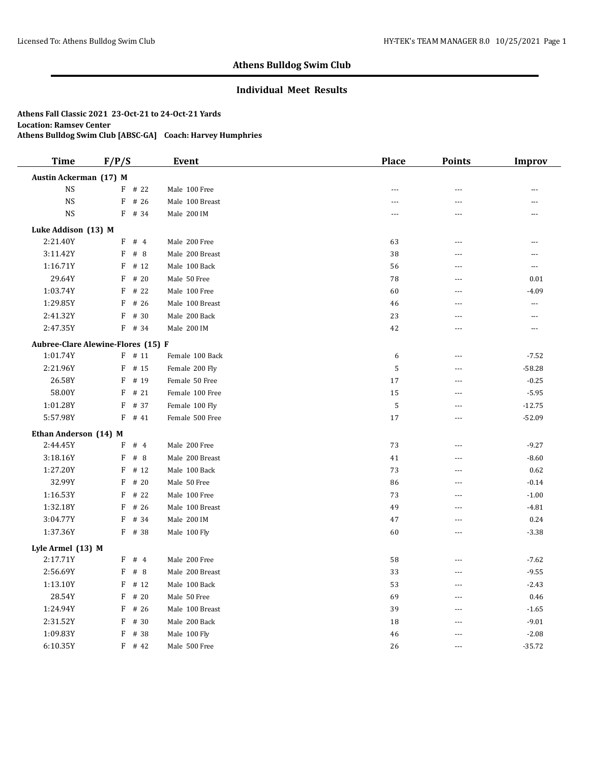## **Individual Meet Results**

| <b>Time</b>                        | F/P/S |          | Event           | <b>Place</b>   | <b>Points</b>  | <b>Improv</b>  |
|------------------------------------|-------|----------|-----------------|----------------|----------------|----------------|
| Austin Ackerman (17) M             |       |          |                 |                |                |                |
| <b>NS</b>                          |       | $F$ # 22 | Male 100 Free   | $\overline{a}$ | $\overline{a}$ | ---            |
| <b>NS</b>                          | F     | # 26     | Male 100 Breast | $\overline{a}$ | ---            | ---            |
| $_{\rm NS}$                        | F     | # 34     | Male 200 IM     | $\sim$         | $-$            | ---            |
| Luke Addison (13) M                |       |          |                 |                |                |                |
| 2:21.40Y                           | F     | #4       | Male 200 Free   | 63             | $- - -$        | ---            |
| 3:11.42Y                           | F     | #8       | Male 200 Breast | 38             | ---            | ---            |
| 1:16.71Y                           | F     | # 12     | Male 100 Back   | 56             | $\overline{a}$ | $\overline{a}$ |
| 29.64Y                             | F     | # 20     | Male 50 Free    | 78             | ---            | 0.01           |
| 1:03.74Y                           | F     | # 22     | Male 100 Free   | 60             | $---$          | $-4.09$        |
| 1:29.85Y                           | F     | # 26     | Male 100 Breast | 46             | $\overline{a}$ | ---            |
| 2:41.32Y                           | F     | # 30     | Male 200 Back   | 23             | $\overline{a}$ | $\overline{a}$ |
| 2:47.35Y                           |       | F # 34   | Male 200 IM     | 42             | $\sim$         | $\overline{a}$ |
| Aubree-Clare Alewine-Flores (15) F |       |          |                 |                |                |                |
| 1:01.74Y                           |       | $F$ # 11 | Female 100 Back | 6              | $\overline{a}$ | $-7.52$        |
| 2:21.96Y                           | F     | # 15     | Female 200 Fly  | 5              | $-$            | $-58.28$       |
| 26.58Y                             | F     | # 19     | Female 50 Free  | 17             | ---            | $-0.25$        |
| 58.00Y                             | F     | # 21     | Female 100 Free | 15             | $\overline{a}$ | $-5.95$        |
| 1:01.28Y                           | F     | # 37     | Female 100 Fly  | 5              | $---$          | $-12.75$       |
| 5:57.98Y                           | F     | # 41     | Female 500 Free | 17             | $\sim$         | $-52.09$       |
| Ethan Anderson (14) M              |       |          |                 |                |                |                |
| 2:44.45Y                           | F     | #4       | Male 200 Free   | 73             | $-$            | $-9.27$        |
| 3:18.16Y                           | F     | #8       | Male 200 Breast | 41             | $\overline{a}$ | $-8.60$        |
| 1:27.20Y                           | F     | # 12     | Male 100 Back   | 73             | ---            | 0.62           |
| 32.99Y                             | F     | # 20     | Male 50 Free    | 86             | $\overline{a}$ | $-0.14$        |
| 1:16.53Y                           | F     | # 22     | Male 100 Free   | 73             | $\overline{a}$ | $-1.00$        |
| 1:32.18Y                           | F     | # 26     | Male 100 Breast | 49             | $-$            | $-4.81$        |
| 3:04.77Y                           | F     | # 34     | Male 200 IM     | 47             | ---            | 0.24           |
| 1:37.36Y                           | F     | # 38     | Male 100 Fly    | 60             | ---            | $-3.38$        |
| Lyle Armel (13) M                  |       |          |                 |                |                |                |
| 2:17.71Y                           | F     | #4       | Male 200 Free   | 58             | ---            | $-7.62$        |
| 2:56.69Y                           | F     | #8       | Male 200 Breast | 33             | $- - -$        | $-9.55$        |
| 1:13.10Y                           | F     | # 12     | Male 100 Back   | 53             | ---            | $-2.43$        |
| 28.54Y                             | F     | # 20     | Male 50 Free    | 69             | $\overline{a}$ | 0.46           |
| 1:24.94Y                           | F     | # 26     | Male 100 Breast | 39             | $- - -$        | $-1.65$        |
| 2:31.52Y                           | F     | # 30     | Male 200 Back   | 18             | $---$          | $-9.01$        |
| 1:09.83Y                           | F     | # 38     | Male 100 Fly    | 46             | $\sim$         | $-2.08$        |
| 6:10.35Y                           |       | $F$ # 42 | Male 500 Free   | 26             | $\overline{a}$ | $-35.72$       |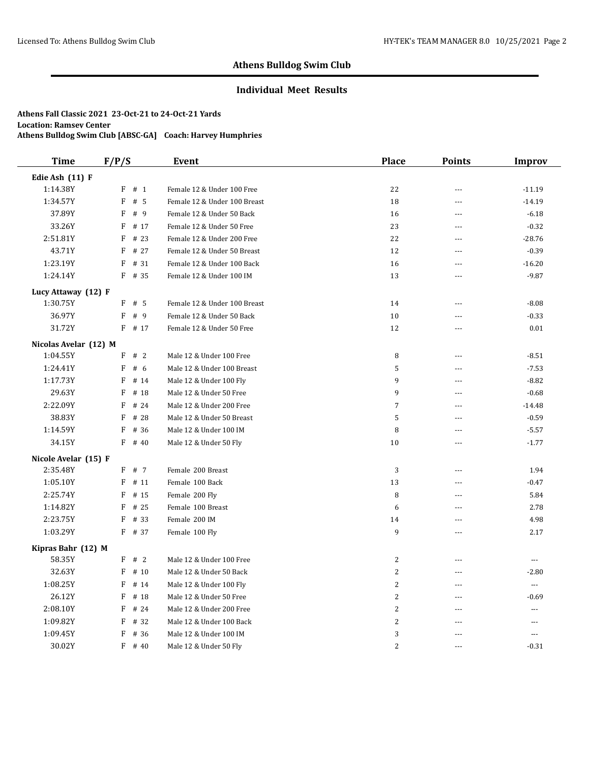## **Individual Meet Results**

| <b>Time</b>           | F/P/S                            | Event                        | Place          | <b>Points</b>  | <b>Improv</b>  |
|-----------------------|----------------------------------|------------------------------|----------------|----------------|----------------|
| Edie Ash (11) F       |                                  |                              |                |                |                |
| 1:14.38Y              | # 1<br>F                         | Female 12 & Under 100 Free   | 22             | $- - -$        | $-11.19$       |
| 1:34.57Y              | $\boldsymbol{\mathrm{F}}$<br># 5 | Female 12 & Under 100 Breast | 18             | $\overline{a}$ | $-14.19$       |
| 37.89Y                | F<br>#9                          | Female 12 & Under 50 Back    | 16             | ---            | $-6.18$        |
| 33.26Y                | F<br># 17                        | Female 12 & Under 50 Free    | 23             | $---$          | $-0.32$        |
| 2:51.81Y              | F<br># 23                        | Female 12 & Under 200 Free   | 22             | $\overline{a}$ | $-28.76$       |
| 43.71Y                | F<br># 27                        | Female 12 & Under 50 Breast  | 12             | $\sim$         | $-0.39$        |
| 1:23.19Y              | # 31<br>F                        | Female 12 & Under 100 Back   | 16             | $\overline{a}$ | $-16.20$       |
| 1:24.14Y              | F<br># 35                        | Female 12 & Under 100 IM     | 13             | ---            | $-9.87$        |
| Lucy Attaway (12) F   |                                  |                              |                |                |                |
| 1:30.75Y              | F<br># 5                         | Female 12 & Under 100 Breast | 14             | $\sim$         | $-8.08$        |
| 36.97Y                | F<br># 9                         | Female 12 & Under 50 Back    | 10             | $\sim$         | $-0.33$        |
| 31.72Y                | $F$ # 17                         | Female 12 & Under 50 Free    | 12             | ---            | 0.01           |
| Nicolas Avelar (12) M |                                  |                              |                |                |                |
| 1:04.55Y              | F<br>#2                          | Male 12 & Under 100 Free     | 8              | $\sim$         | $-8.51$        |
| 1:24.41Y              | F<br># 6                         | Male 12 & Under 100 Breast   | 5              | ---            | $-7.53$        |
| 1:17.73Y              | F<br># 14                        | Male 12 & Under 100 Fly      | 9              | $\sim$         | $-8.82$        |
| 29.63Y                | F<br># 18                        | Male 12 & Under 50 Free      | 9              | $\overline{a}$ | $-0.68$        |
| 2:22.09Y              | F<br># 24                        | Male 12 & Under 200 Free     | $\overline{7}$ | $\sim$         | $-14.48$       |
| 38.83Y                | # 28<br>F                        | Male 12 & Under 50 Breast    | 5              | $\overline{a}$ | $-0.59$        |
| 1:14.59Y              | F<br># 36                        | Male 12 & Under 100 IM       | $\, 8$         | $\sim$ $\sim$  | $-5.57$        |
| 34.15Y                | F<br># 40                        | Male 12 & Under 50 Fly       | 10             | $-$            | $-1.77$        |
| Nicole Avelar (15) F  |                                  |                              |                |                |                |
| 2:35.48Y              | F<br># 7                         | Female 200 Breast            | 3              | $\sim$         | 1.94           |
| 1:05.10Y              | F<br># 11                        | Female 100 Back              | 13             | ---            | $-0.47$        |
| 2:25.74Y              | F<br># 15                        | Female 200 Fly               | 8              | $\overline{a}$ | 5.84           |
| 1:14.82Y              | F<br># 25                        | Female 100 Breast            | 6              | $\sim$         | 2.78           |
| 2:23.75Y              | F<br># 33                        | Female 200 IM                | 14             | $\overline{a}$ | 4.98           |
| 1:03.29Y              | $F$ # 37                         | Female 100 Fly               | 9              | $- - -$        | 2.17           |
| Kipras Bahr (12) M    |                                  |                              |                |                |                |
| 58.35Y                | #2<br>F                          | Male 12 & Under 100 Free     | $\overline{c}$ | $\overline{a}$ | $\overline{a}$ |
| 32.63Y                | F<br># 10                        | Male 12 & Under 50 Back      | $\overline{2}$ | $- - -$        | $-2.80$        |
| 1:08.25Y              | F<br># 14                        | Male 12 & Under 100 Fly      | $\overline{2}$ | $\sim$         | ---            |
| 26.12Y                | F<br># 18                        | Male 12 & Under 50 Free      | $\overline{2}$ | $-$            | $-0.69$        |
| 2:08.10Y              | F<br># 24                        | Male 12 & Under 200 Free     | $\overline{2}$ | $---$          | ---            |
| 1:09.82Y              | F<br># 32                        | Male 12 & Under 100 Back     | $\overline{c}$ | $- - -$        | $\cdots$       |
| 1:09.45Y              | F<br># 36                        | Male 12 & Under 100 IM       | 3              |                | ---            |
| 30.02Y                | F<br># 40                        | Male 12 & Under 50 Fly       | $\overline{2}$ | $---$          | $-0.31$        |
|                       |                                  |                              |                |                |                |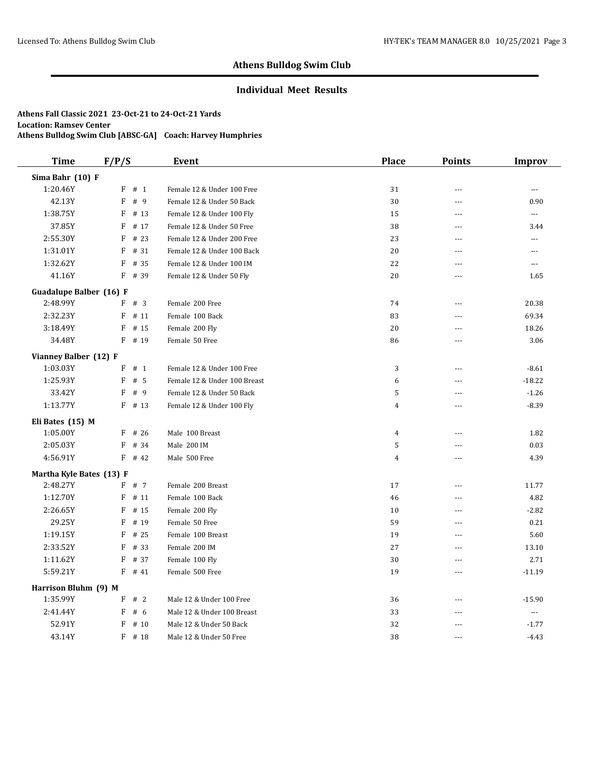## **Individual Meet Results**

| <b>Time</b>              | F/P/S                             | <b>Event</b>                 | <b>Place</b>   | <b>Points</b>  | Improv         |
|--------------------------|-----------------------------------|------------------------------|----------------|----------------|----------------|
| Sima Bahr (10) F         |                                   |                              |                |                |                |
| 1:20.46Y                 | $\mathbf F$<br># 1                | Female 12 & Under 100 Free   | 31             | $\overline{a}$ | $\overline{a}$ |
| 42.13Y                   | F<br># 9                          | Female 12 & Under 50 Back    | 30             | ---            | 0.90           |
| 1:38.75Y                 | F<br># 13                         | Female 12 & Under 100 Fly    | 15             | ---            | ---            |
| 37.85Y                   | $\boldsymbol{\mathrm{F}}$<br># 17 | Female 12 & Under 50 Free    | 38             | $\overline{a}$ | 3.44           |
| 2:55.30Y                 | F<br># 23                         | Female 12 & Under 200 Free   | 23             | $\overline{a}$ | ---            |
| 1:31.01Y                 | F<br># 31                         | Female 12 & Under 100 Back   | 20             | $\overline{a}$ | $---$          |
| 1:32.62Y                 | F<br># 35                         | Female 12 & Under 100 IM     | 22             | $\overline{a}$ | ---            |
| 41.16Y                   | $F$ # 39                          | Female 12 & Under 50 Fly     | 20             | ---            | 1.65           |
| Guadalupe Balber (16) F  |                                   |                              |                |                |                |
| 2:48.99Y                 | F # 3                             | Female 200 Free              | 74             | ---            | 20.38          |
| 2:32.23Y                 | F<br># 11                         | Female 100 Back              | 83             | $\overline{a}$ | 69.34          |
| 3:18.49Y                 | F<br># 15                         | Female 200 Fly               | 20             | $- - -$        | 18.26          |
| 34.48Y                   | $F$ # 19                          | Female 50 Free               | 86             | $- - -$        | 3.06           |
| Vianney Balber (12) F    |                                   |                              |                |                |                |
| 1:03.03Y                 | $F$ # 1                           | Female 12 & Under 100 Free   | 3              | ---            | $-8.61$        |
| 1:25.93Y                 | F<br># 5                          | Female 12 & Under 100 Breast | 6              | ---            | $-18.22$       |
| 33.42Y                   | F<br>#9                           | Female 12 & Under 50 Back    | 5              | $\overline{a}$ | $-1.26$        |
| 1:13.77Y                 | $F$ # 13                          | Female 12 & Under 100 Fly    | $\overline{4}$ | $\overline{a}$ | $-8.39$        |
| Eli Bates (15) M         |                                   |                              |                |                |                |
| 1:05.00Y                 | $F$ # 26                          | Male 100 Breast              | $\overline{4}$ | $\overline{a}$ | 1.82           |
| 2:05.03Y                 | F<br># 34                         | Male 200 IM                  | 5              | ---            | 0.03           |
| 4:56.91Y                 | $F$ # 42                          | Male 500 Free                | $\overline{4}$ | $\overline{a}$ | 4.39           |
| Martha Kyle Bates (13) F |                                   |                              |                |                |                |
| 2:48.27Y                 | F # 7                             | Female 200 Breast            | 17             | $\overline{a}$ | 11.77          |
| 1:12.70Y                 | $F$ # 11                          | Female 100 Back              | 46             | ---            | 4.82           |
| 2:26.65Y                 | F<br># 15                         | Female 200 Fly               | 10             | ---            | $-2.82$        |
| 29.25Y                   | F<br># 19                         | Female 50 Free               | 59             | $\overline{a}$ | 0.21           |
| 1:19.15Y                 | F<br># 25                         | Female 100 Breast            | 19             | ---            | 5.60           |
| 2:33.52Y                 | F<br># 33                         | Female 200 IM                | 27             | $\sim$         | 13.10          |
| 1:11.62Y                 | F<br># 37                         | Female 100 Fly               | 30             | $\overline{a}$ | 2.71           |
| 5:59.21Y                 | $F$ # 41                          | Female 500 Free              | 19             | ---            | $-11.19$       |
| Harrison Bluhm (9) M     |                                   |                              |                |                |                |
| 1:35.99Y                 | #2<br>F                           | Male 12 & Under 100 Free     | 36             | $\overline{a}$ | $-15.90$       |
| 2:41.44Y                 | F<br># 6                          | Male 12 & Under 100 Breast   | 33             | $\overline{a}$ | $\cdots$       |
| 52.91Y                   | F<br># 10                         | Male 12 & Under 50 Back      | 32             | $---$          | $-1.77$        |
| 43.14Y                   | $F$ # 18                          | Male 12 & Under 50 Free      | 38             | $\overline{a}$ | $-4.43$        |
|                          |                                   |                              |                |                |                |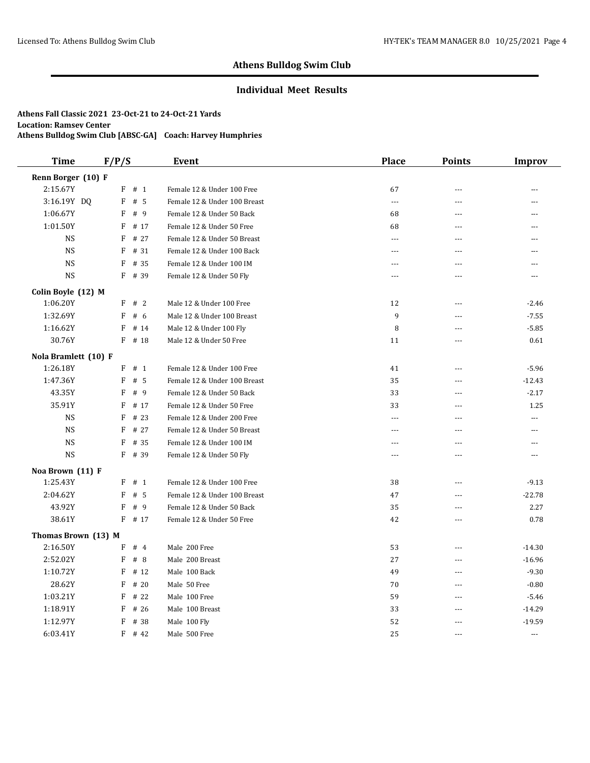## **Individual Meet Results**

| <b>Time</b>          | F/P/S |        | Event                        | <b>Place</b>             | <b>Points</b>  | <b>Improv</b>  |
|----------------------|-------|--------|------------------------------|--------------------------|----------------|----------------|
| Renn Borger (10) F   |       |        |                              |                          |                |                |
| 2:15.67Y             | F     | # 1    | Female 12 & Under 100 Free   | 67                       | $\sim$         | ---            |
| 3:16.19Y DQ          | F     | # 5    | Female 12 & Under 100 Breast | $\overline{a}$           | $\overline{a}$ | ---            |
| 1:06.67Y             | F     | # 9    | Female 12 & Under 50 Back    | 68                       | $-$            | ---            |
| 1:01.50Y             | F     | # 17   | Female 12 & Under 50 Free    | 68                       | $-$            | $-$            |
| <b>NS</b>            | F     | # 27   | Female 12 & Under 50 Breast  | $\overline{\phantom{a}}$ | $-$            | ---            |
| <b>NS</b>            | F     | # 31   | Female 12 & Under 100 Back   | $---$                    | ---            | $\overline{a}$ |
| <b>NS</b>            | F     | # 35   | Female 12 & Under 100 IM     | $\cdots$                 | ---            | ---            |
| <b>NS</b>            | F     | # 39   | Female 12 & Under 50 Fly     | $\sim$                   | $\sim$ $\sim$  | ---            |
| Colin Boyle (12) M   |       |        |                              |                          |                |                |
| 1:06.20Y             | F     | #2     | Male 12 & Under 100 Free     | 12                       | $\sim$         | $-2.46$        |
| 1:32.69Y             | F     | #6     | Male 12 & Under 100 Breast   | 9                        | ---            | $-7.55$        |
| 1:16.62Y             | F     | # 14   | Male 12 & Under 100 Fly      | 8                        | $\sim$         | $-5.85$        |
| 30.76Y               |       | F # 18 | Male 12 & Under 50 Free      | 11                       | $-$            | 0.61           |
| Nola Bramlett (10) F |       |        |                              |                          |                |                |
| 1:26.18Y             | F     | # 1    | Female 12 & Under 100 Free   | 41                       | $\overline{a}$ | $-5.96$        |
| 1:47.36Y             | F     | #5     | Female 12 & Under 100 Breast | 35                       | ---            | $-12.43$       |
| 43.35Y               | F     | #9     | Female 12 & Under 50 Back    | 33                       | $---$          | $-2.17$        |
| 35.91Y               | F     | # 17   | Female 12 & Under 50 Free    | 33                       | $-$            | 1.25           |
| <b>NS</b>            | F     | #23    | Female 12 & Under 200 Free   | $---$                    | $-$            | $\overline{a}$ |
| <b>NS</b>            | F     | # 27   | Female 12 & Under 50 Breast  | $---$                    | $\sim$         | $\overline{a}$ |
| <b>NS</b>            | F     | # 35   | Female 12 & Under 100 IM     | $\sim$                   | $-$            | ---            |
| <b>NS</b>            | F     | # 39   | Female 12 & Under 50 Fly     | ---                      | $-$            | $\overline{a}$ |
| Noa Brown (11) F     |       |        |                              |                          |                |                |
| 1:25.43Y             | F     | # 1    | Female 12 & Under 100 Free   | 38                       | $\overline{a}$ | $-9.13$        |
| 2:04.62Y             | F     | # 5    | Female 12 & Under 100 Breast | 47                       | $---$          | $-22.78$       |
| 43.92Y               | F     | # 9    | Female 12 & Under 50 Back    | 35                       | $\overline{a}$ | 2.27           |
| 38.61Y               | F     | # 17   | Female 12 & Under 50 Free    | 42                       | $-$            | 0.78           |
| Thomas Brown (13) M  |       |        |                              |                          |                |                |
| 2:16.50Y             | F     | #4     | Male 200 Free                | 53                       | $\overline{a}$ | $-14.30$       |
| 2:52.02Y             | F     | #8     | Male 200 Breast              | 27                       | $\sim$         | $-16.96$       |
| 1:10.72Y             | F     | # 12   | Male 100 Back                | 49                       | $\sim$         | $-9.30$        |
| 28.62Y               | F     | # 20   | Male 50 Free                 | 70                       | $\sim$         | $-0.80$        |
| 1:03.21Y             | F     | # 22   | Male 100 Free                | 59                       | $\sim$         | $-5.46$        |
| 1:18.91Y             | F     | # 26   | Male 100 Breast              | 33                       | $\sim$         | $-14.29$       |
| 1:12.97Y             | F     | # 38   | Male 100 Fly                 | 52                       | ---            | $-19.59$       |
| 6:03.41Y             | F     | # 42   | Male 500 Free                | 25                       | $---$          | $---$          |
|                      |       |        |                              |                          |                |                |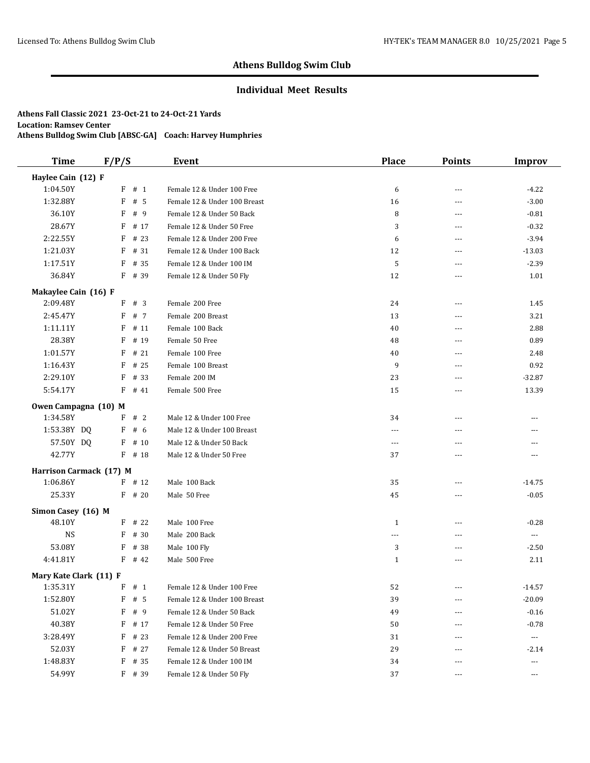## **Individual Meet Results**

| <b>Time</b>             | F/P/S |          | <b>Event</b>                 | <b>Place</b> | <b>Points</b> | <b>Improv</b>         |
|-------------------------|-------|----------|------------------------------|--------------|---------------|-----------------------|
| Haylee Cain (12) F      |       |          |                              |              |               |                       |
| 1:04.50Y                |       | $F$ # 1  | Female 12 & Under 100 Free   | 6            | ---           | $-4.22$               |
| 1:32.88Y                | F     | #5       | Female 12 & Under 100 Breast | 16           | $---$         | $-3.00$               |
| 36.10Y                  | F     | #9       | Female 12 & Under 50 Back    | 8            | $---$         | $-0.81$               |
| 28.67Y                  | F     | # 17     | Female 12 & Under 50 Free    | 3            | ---           | $-0.32$               |
| 2:22.55Y                | F     | # 23     | Female 12 & Under 200 Free   | 6            | $---$         | $-3.94$               |
| 1:21.03Y                | F     | # 31     | Female 12 & Under 100 Back   | 12           | ---           | $-13.03$              |
| 1:17.51Y                | F     | # 35     | Female 12 & Under 100 IM     | 5            | $---$         | $-2.39$               |
| 36.84Y                  |       | F # 39   | Female 12 & Under 50 Fly     | 12           | ---           | 1.01                  |
| Makaylee Cain (16) F    |       |          |                              |              |               |                       |
| 2:09.48Y                |       | F # 3    | Female 200 Free              | 24           | ---           | 1.45                  |
| 2:45.47Y                | F     | # 7      | Female 200 Breast            | 13           | ---           | 3.21                  |
| 1:11.11Y                | F     | # 11     | Female 100 Back              | 40           | ---           | 2.88                  |
| 28.38Y                  | F     | # 19     | Female 50 Free               | 48           | ---           | 0.89                  |
| 1:01.57Y                | F     | # 21     | Female 100 Free              | 40           | $---$         | 2.48                  |
| 1:16.43Y                | F     | # 25     | Female 100 Breast            | 9            | ---           | 0.92                  |
| 2:29.10Y                | F     | # 33     | Female 200 IM                | 23           | $---$         | $-32.87$              |
| 5:54.17Y                | F     | # 41     | Female 500 Free              | 15           | ---           | 13.39                 |
| Owen Campagna (10) M    |       |          |                              |              |               |                       |
| 1:34.58Y                | F     | #2       | Male 12 & Under 100 Free     | 34           | ---           | $- - -$               |
| 1:53.38Y DQ             | F     | # $6$    | Male 12 & Under 100 Breast   | $---$        |               |                       |
| 57.50Y DQ               | F     | # 10     | Male 12 & Under 50 Back      | ---          |               |                       |
| 42.77Y                  |       | $F$ # 18 | Male 12 & Under 50 Free      | 37           | ---           | ---                   |
| Harrison Carmack (17) M |       |          |                              |              |               |                       |
| 1:06.86Y                |       | $F$ # 12 | Male 100 Back                | 35           | ---           | $-14.75$              |
| 25.33Y                  |       | $F$ # 20 | Male 50 Free                 | 45           | $---$         | $-0.05$               |
| Simon Casey (16) M      |       |          |                              |              |               |                       |
| 48.10Y                  |       | $F$ # 22 | Male 100 Free                | $\mathbf{1}$ | ---           | $-0.28$               |
| <b>NS</b>               | F     | # 30     | Male 200 Back                | ---          | ---           | $\scriptstyle \cdots$ |
| 53.08Y                  | F     | # 38     | Male 100 Fly                 | 3            | ---           | $-2.50$               |
| 4:41.81Y                |       | $F$ # 42 | Male 500 Free                | $\mathbf{1}$ | ---           | 2.11                  |
| Mary Kate Clark (11) F  |       |          |                              |              |               |                       |
| 1:35.31Y                |       | F # 1    | Female 12 & Under 100 Free   | 52           |               | $-14.57$              |
| 1:52.80Y                | F     | # 5      | Female 12 & Under 100 Breast | 39           | ---           | $-20.09$              |
| 51.02Y                  | F     | # 9      | Female 12 & Under 50 Back    | 49           | ---           | $-0.16$               |
| 40.38Y                  | F     | # 17     | Female 12 & Under 50 Free    | 50           | ---           | $-0.78$               |
| 3:28.49Y                | F     | # 23     | Female 12 & Under 200 Free   | 31           |               | $\scriptstyle\cdots$  |
| 52.03Y                  | F     | # 27     | Female 12 & Under 50 Breast  | 29           | ---           | $-2.14$               |
| 1:48.83Y                | F     | # 35     | Female 12 & Under 100 IM     | 34           |               | ---                   |
| 54.99Y                  |       | F # 39   | Female 12 & Under 50 Fly     | 37           | $---$         | $\sim$ $\sim$ $\sim$  |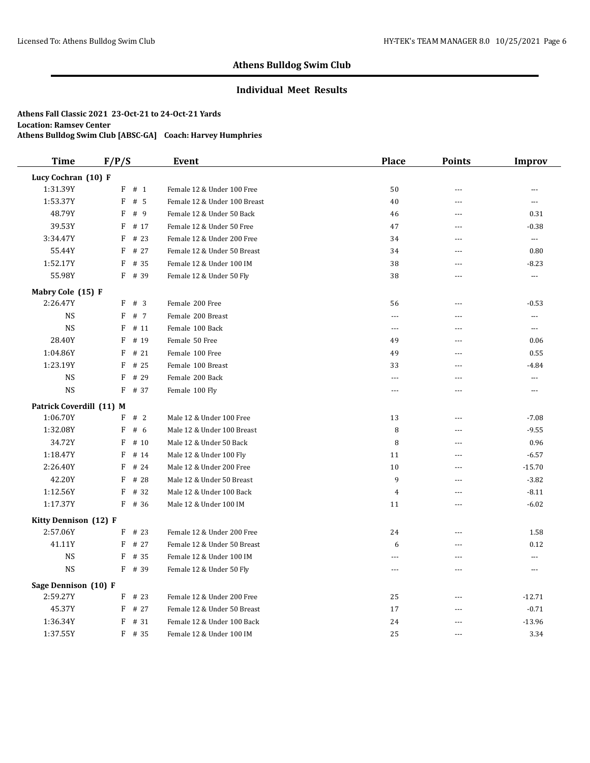## **Individual Meet Results**

| <b>Time</b>              | F/P/S        |          | <b>Event</b>                 | <b>Place</b>   | <b>Points</b> | <b>Improv</b>        |
|--------------------------|--------------|----------|------------------------------|----------------|---------------|----------------------|
| Lucy Cochran (10) F      |              |          |                              |                |               |                      |
| 1:31.39Y                 | $\mathbf{F}$ | # 1      | Female 12 & Under 100 Free   | 50             | $---$         | $\frac{1}{2}$        |
| 1:53.37Y                 | F            | # 5      | Female 12 & Under 100 Breast | 40             | ---           | $\overline{a}$       |
| 48.79Y                   | F            | # 9      | Female 12 & Under 50 Back    | 46             | ---           | 0.31                 |
| 39.53Y                   | F            | # 17     | Female 12 & Under 50 Free    | 47             | ---           | $-0.38$              |
| 3:34.47Y                 | F            | # 23     | Female 12 & Under 200 Free   | 34             | ---           | ---                  |
| 55.44Y                   | F            | # 27     | Female 12 & Under 50 Breast  | 34             | ---           | 0.80                 |
| 1:52.17Y                 | F            | # 35     | Female 12 & Under 100 IM     | 38             | $---$         | $-8.23$              |
| 55.98Y                   |              | $F$ # 39 | Female 12 & Under 50 Fly     | 38             | ---           | ---                  |
| Mabry Cole (15) F        |              |          |                              |                |               |                      |
| 2:26.47Y                 | F            | # 3      | Female 200 Free              | 56             | ---           | $-0.53$              |
| <b>NS</b>                | F            | # 7      | Female 200 Breast            | $\cdots$       | ---           | ---                  |
| <b>NS</b>                | F            | # 11     | Female 100 Back              | $- - -$        | $---$         | $\sim$ $\sim$ $\sim$ |
| 28.40Y                   | F            | # 19     | Female 50 Free               | 49             | ---           | 0.06                 |
| 1:04.86Y                 | F            | #21      | Female 100 Free              | 49             | $\sim$        | 0.55                 |
| 1:23.19Y                 | F            | # 25     | Female 100 Breast            | 33             | $---$         | $-4.84$              |
| <b>NS</b>                | F            | # 29     | Female 200 Back              | $\overline{a}$ | ---           | $\overline{a}$       |
| <b>NS</b>                | F            | # 37     | Female 100 Fly               | $- - -$        | $---$         | $---$                |
| Patrick Coverdill (11) M |              |          |                              |                |               |                      |
| 1:06.70Y                 | F            | #2       | Male 12 & Under 100 Free     | 13             | ---           | $-7.08$              |
| 1:32.08Y                 | F            | # 6      | Male 12 & Under 100 Breast   | 8              | $\sim$        | $-9.55$              |
| 34.72Y                   | F            | # 10     | Male 12 & Under 50 Back      | 8              | ---           | 0.96                 |
| 1:18.47Y                 | F            | # 14     | Male 12 & Under 100 Fly      | 11             | ---           | $-6.57$              |
| 2:26.40Y                 | F            | # 24     | Male 12 & Under 200 Free     | 10             | $---$         | $-15.70$             |
| 42.20Y                   | F            | # 28     | Male 12 & Under 50 Breast    | 9              | ---           | $-3.82$              |
| 1:12.56Y                 | F            | # 32     | Male 12 & Under 100 Back     | 4              | ---           | $-8.11$              |
| 1:17.37Y                 |              | $F$ # 36 | Male 12 & Under 100 IM       | 11             | $---$         | $-6.02$              |
| Kitty Dennison (12) F    |              |          |                              |                |               |                      |
| 2:57.06Y                 |              | $F$ # 23 | Female 12 & Under 200 Free   | 24             | $---$         | 1.58                 |
| 41.11Y                   | F            | # 27     | Female 12 & Under 50 Breast  | 6              | ---           | 0.12                 |
| <b>NS</b>                | F            | # 35     | Female 12 & Under 100 IM     | $---$          | ---           | ---                  |
| <b>NS</b>                |              | $F$ # 39 | Female 12 & Under 50 Fly     | $- - -$        | ---           | $\overline{a}$       |
| Sage Dennison (10) F     |              |          |                              |                |               |                      |
| 2:59.27Y                 |              | $F$ # 23 | Female 12 & Under 200 Free   | 25             | $\sim$        | $-12.71$             |
| 45.37Y                   | F            | # 27     | Female 12 & Under 50 Breast  | 17             | ---           | $-0.71$              |
| 1:36.34Y                 | F            | #31      | Female 12 & Under 100 Back   | 24             |               | $-13.96$             |
| 1:37.55Y                 | F            | # 35     | Female 12 & Under 100 IM     | 25             | $- - -$       | 3.34                 |
|                          |              |          |                              |                |               |                      |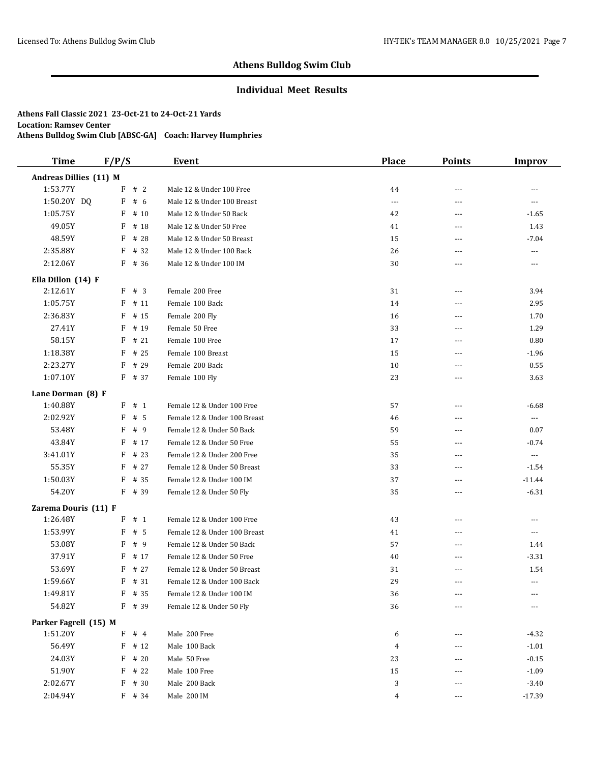## **Individual Meet Results**

| <b>Time</b>            | F/P/S     | Event                        | <b>Place</b> | <b>Points</b>  | <b>Improv</b>            |
|------------------------|-----------|------------------------------|--------------|----------------|--------------------------|
| Andreas Dillies (11) M |           |                              |              |                |                          |
| 1:53.77Y               | F # 2     | Male 12 & Under 100 Free     | 44           | $---$          | $- - -$                  |
| 1:50.20Y DQ            | F<br># 6  | Male 12 & Under 100 Breast   | $\cdots$     | ---            | $\overline{\phantom{a}}$ |
| 1:05.75Y               | F<br># 10 | Male 12 & Under 50 Back      | 42           | ---            | $-1.65$                  |
| 49.05Y                 | # 18<br>F | Male 12 & Under 50 Free      | 41           | $---$          | 1.43                     |
| 48.59Y                 | F<br># 28 | Male 12 & Under 50 Breast    | 15           | ---            | $-7.04$                  |
| 2:35.88Y               | F<br># 32 | Male 12 & Under 100 Back     | 26           | $- - -$        | ---                      |
| 2:12.06Y               | F<br># 36 | Male 12 & Under 100 IM       | 30           | ---            | ---                      |
| Ella Dillon (14) F     |           |                              |              |                |                          |
| 2:12.61Y               | F<br>#3   | Female 200 Free              | 31           | ---            | 3.94                     |
| 1:05.75Y               | F<br># 11 | Female 100 Back              | 14           | $---$          | 2.95                     |
| 2:36.83Y               | F<br># 15 | Female 200 Fly               | 16           | $\overline{a}$ | 1.70                     |
| 27.41Y                 | F<br># 19 | Female 50 Free               | 33           | $\overline{a}$ | 1.29                     |
| 58.15Y                 | # 21<br>F | Female 100 Free              | 17           | $\overline{a}$ | 0.80                     |
| 1:18.38Y               | F<br># 25 | Female 100 Breast            | 15           | $\overline{a}$ | $-1.96$                  |
| 2:23.27Y               | # 29<br>F | Female 200 Back              | 10           | $---$          | 0.55                     |
| 1:07.10Y               | $F$ # 37  | Female 100 Fly               | 23           | $\overline{a}$ | 3.63                     |
| Lane Dorman (8) F      |           |                              |              |                |                          |
| 1:40.88Y               | F<br># 1  | Female 12 & Under 100 Free   | 57           | $\overline{a}$ | $-6.68$                  |
| 2:02.92Y               | F<br>#5   | Female 12 & Under 100 Breast | 46           | ---            | ---                      |
| 53.48Y                 | F<br>#9   | Female 12 & Under 50 Back    | 59           | ---            | 0.07                     |
| 43.84Y                 | F<br># 17 | Female 12 & Under 50 Free    | 55           | ---            | $-0.74$                  |
| 3:41.01Y               | F<br># 23 | Female 12 & Under 200 Free   | 35           | $\overline{a}$ | $\overline{\phantom{a}}$ |
| 55.35Y                 | F<br># 27 | Female 12 & Under 50 Breast  | 33           | ---            | $-1.54$                  |
| 1:50.03Y               | F<br># 35 | Female 12 & Under 100 IM     | 37           | $---$          | $-11.44$                 |
| 54.20Y                 | F<br># 39 | Female 12 & Under 50 Fly     | 35           | $\overline{a}$ | $-6.31$                  |
| Zarema Douris (11) F   |           |                              |              |                |                          |
| 1:26.48Y               | # 1<br>F  | Female 12 & Under 100 Free   | 43           | $\overline{a}$ | ---                      |
| 1:53.99Y               | F<br>#5   | Female 12 & Under 100 Breast | 41           | $- - -$        | $---$                    |
| 53.08Y                 | # 9<br>F  | Female 12 & Under 50 Back    | 57           | $\overline{a}$ | 1.44                     |
| 37.91Y                 | # 17<br>F | Female 12 & Under 50 Free    | 40           | ---            | $-3.31$                  |
| 53.69Y                 | F<br># 27 | Female 12 & Under 50 Breast  | 31           | $---$          | 1.54                     |
| 1:59.66Y               | F<br># 31 | Female 12 & Under 100 Back   | 29           | ---            | ---                      |
| 1:49.81Y               | F # 35    | Female 12 & Under 100 IM     | 36           | ---            |                          |
| 54.82Y                 | F # 39    | Female 12 & Under 50 Fly     | 36           | ---            |                          |
| Parker Fagrell (15) M  |           |                              |              |                |                          |
| 1:51.20Y               | $F$ # 4   | Male 200 Free                | 6            |                | $-4.32$                  |
| 56.49Y                 | $F$ # 12  | Male 100 Back                | 4            |                | $-1.01$                  |
| 24.03Y                 | # 20<br>F | Male 50 Free                 | 23           | $---$          | $-0.15$                  |
| 51.90Y                 | F<br># 22 | Male 100 Free                | 15           |                | $-1.09$                  |
| 2:02.67Y               | F<br># 30 | Male 200 Back                | 3            | $---$          | $-3.40$                  |
| 2:04.94Y               | F # 34    | Male 200 IM                  | 4            | $---$          | $-17.39$                 |
|                        |           |                              |              |                |                          |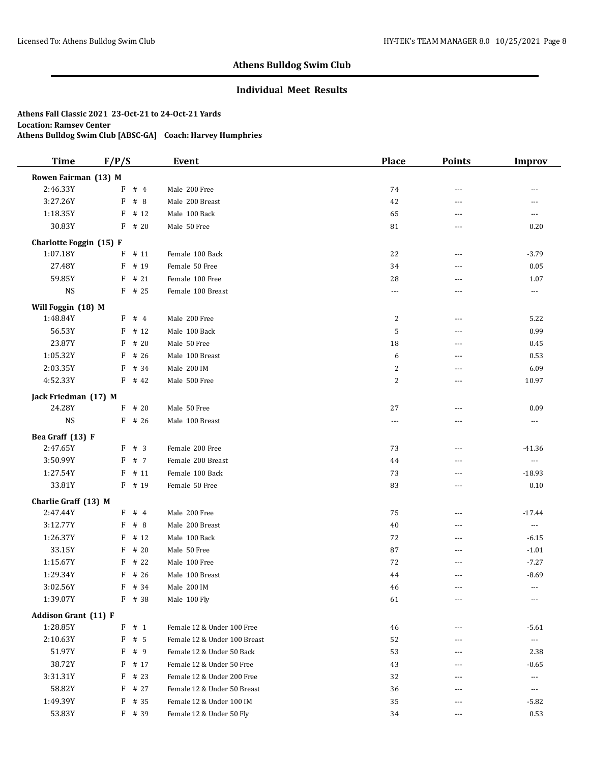## **Individual Meet Results**

| <b>Time</b>                 | F/P/S    |      | <b>Event</b>                 | <b>Place</b>         | <b>Points</b>     | <b>Improv</b>            |
|-----------------------------|----------|------|------------------------------|----------------------|-------------------|--------------------------|
| Rowen Fairman (13) M        |          |      |                              |                      |                   |                          |
| 2:46.33Y                    | F        | #4   | Male 200 Free                | 74                   | ---               | ---                      |
| 3:27.26Y                    | F        | #8   | Male 200 Breast              | 42                   | ---               | ---                      |
| 1:18.35Y                    | F        | # 12 | Male 100 Back                | 65                   | $- - -$           | $\overline{\phantom{a}}$ |
| 30.83Y                      | $F$ # 20 |      | Male 50 Free                 | 81                   | ---               | 0.20                     |
| Charlotte Foggin (15) F     |          |      |                              |                      |                   |                          |
| 1:07.18Y                    | F        | # 11 | Female 100 Back              | 22                   | $---$             | $-3.79$                  |
| 27.48Y                      | F        | # 19 | Female 50 Free               | 34                   | ---               | 0.05                     |
| 59.85Y                      | F        | # 21 | Female 100 Free              | 28                   | ---               | 1.07                     |
| <b>NS</b>                   | $F$ # 25 |      | Female 100 Breast            | $\sim$ $\sim$ $\sim$ | ---               | $---$                    |
| Will Foggin (18) M          |          |      |                              |                      |                   |                          |
| 1:48.84Y                    | F # 4    |      | Male 200 Free                | 2                    | $---$             | 5.22                     |
| 56.53Y                      | $F$ # 12 |      | Male 100 Back                | 5                    | $- - -$           | 0.99                     |
| 23.87Y                      | F        | # 20 | Male 50 Free                 | 18                   | $---$             | 0.45                     |
| 1:05.32Y                    | F        | # 26 | Male 100 Breast              | 6                    | $- - -$           | 0.53                     |
| 2:03.35Y                    | F        | # 34 | Male 200 IM                  | $\overline{c}$       | $\sim$ $\sim$     | 6.09                     |
| 4:52.33Y                    | F        | # 42 | Male 500 Free                | $\overline{2}$       | ---               | 10.97                    |
| Jack Friedman (17) M        |          |      |                              |                      |                   |                          |
| 24.28Y                      | $F$ # 20 |      | Male 50 Free                 | 27                   | $\overline{a}$    | 0.09                     |
| <b>NS</b>                   | $F$ # 26 |      | Male 100 Breast              | $\cdots$             | $---$             | ---                      |
| Bea Graff (13) F            |          |      |                              |                      |                   |                          |
| 2:47.65Y                    | F # 3    |      | Female 200 Free              | 73                   | $\sim$ $\sim$     | $-41.36$                 |
| 3:50.99Y                    | F        | # 7  | Female 200 Breast            | 44                   | ---               | $\ldots$                 |
| 1:27.54Y                    | F        | #11  | Female 100 Back              | 73                   | ---               | $-18.93$                 |
| 33.81Y                      | F        | # 19 | Female 50 Free               | 83                   | $\sim$ $\sim$     | 0.10                     |
| Charlie Graff (13) M        |          |      |                              |                      |                   |                          |
| 2:47.44Y                    | F # 4    |      | Male 200 Free                | 75                   | $\sim$ $\sim$     | $-17.44$                 |
| 3:12.77Y                    | F        | #8   | Male 200 Breast              | 40                   | ---               | $\cdots$                 |
| 1:26.37Y                    | F        | # 12 | Male 100 Back                | 72                   | $---$             | $-6.15$                  |
| 33.15Y                      | F        | # 20 | Male 50 Free                 | 87                   | ---               | $-1.01$                  |
| 1:15.67Y                    | $F$ # 22 |      | Male 100 Free                | 72                   | $- - -$           | $-7.27$                  |
| 1:29.34Y                    | F        | # 26 | Male 100 Breast              | 44                   | ---               | $-8.69$                  |
| 3:02.56Y                    | F # 34   |      | Male 200 IM                  | 46                   |                   |                          |
| 1:39.07Y                    | $F$ # 38 |      | Male 100 Fly                 | 61                   | $\qquad \qquad -$ | $---$                    |
| <b>Addison Grant (11) F</b> |          |      |                              |                      |                   |                          |
| 1:28.85Y                    | $F$ # 1  |      | Female 12 & Under 100 Free   | 46                   | ---               | $-5.61$                  |
| 2:10.63Y                    | F        | #5   | Female 12 & Under 100 Breast | 52                   | ---               | ---                      |
| 51.97Y                      | F        | #9   | Female 12 & Under 50 Back    | 53                   | ---               | 2.38                     |
| 38.72Y                      | F        | # 17 | Female 12 & Under 50 Free    | 43                   |                   | $-0.65$                  |
| 3:31.31Y                    | F        | # 23 | Female 12 & Under 200 Free   | 32                   |                   | ---                      |
| 58.82Y                      | F        | # 27 | Female 12 & Under 50 Breast  | 36                   |                   | ---                      |
| 1:49.39Y                    | F        | # 35 | Female 12 & Under 100 IM     | 35                   |                   | $-5.82$                  |
| 53.83Y                      | F # 39   |      | Female 12 & Under 50 Fly     | 34                   | ---               | 0.53                     |
|                             |          |      |                              |                      |                   |                          |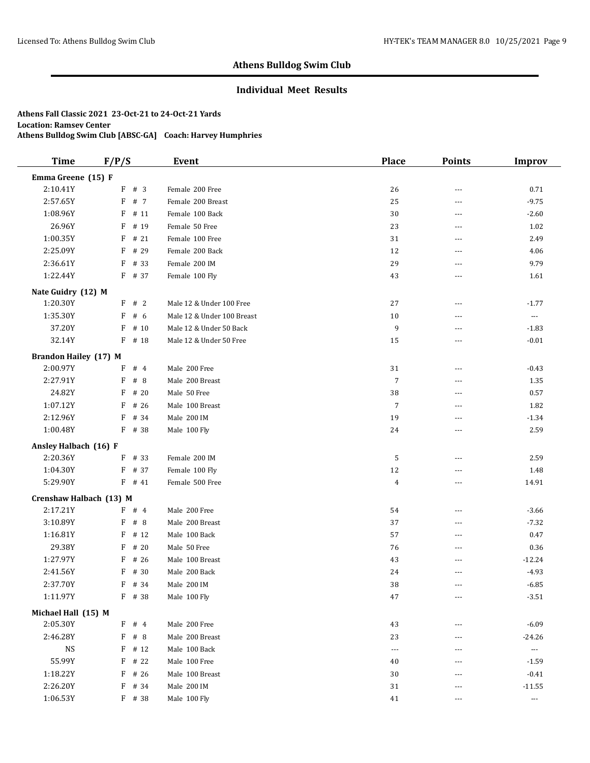## **Individual Meet Results**

| <b>Time</b>                  | F/P/S     | <b>Event</b>               | <b>Place</b>   | <b>Points</b> | <b>Improv</b>            |
|------------------------------|-----------|----------------------------|----------------|---------------|--------------------------|
| Emma Greene (15) F           |           |                            |                |               |                          |
| 2:10.41Y                     | F # 3     | Female 200 Free            | 26             | ---           | 0.71                     |
| 2:57.65Y                     | F<br># 7  | Female 200 Breast          | 25             | $---$         | $-9.75$                  |
| 1:08.96Y                     | F<br># 11 | Female 100 Back            | 30             | ---           | $-2.60$                  |
| 26.96Y                       | F<br># 19 | Female 50 Free             | 23             | ---           | 1.02                     |
| 1:00.35Y                     | # 21<br>F | Female 100 Free            | 31             | ---           | 2.49                     |
| 2:25.09Y                     | # 29<br>F | Female 200 Back            | 12             | ---           | 4.06                     |
| 2:36.61Y                     | F<br># 33 | Female 200 IM              | 29             | $- - -$       | 9.79                     |
| 1:22.44Y                     | $F$ # 37  | Female 100 Fly             | 43             | ---           | 1.61                     |
| Nate Guidry (12) M           |           |                            |                |               |                          |
| 1:20.30Y                     | F # 2     | Male 12 & Under 100 Free   | 27             | $---$         | $-1.77$                  |
| 1:35.30Y                     | F<br># 6  | Male 12 & Under 100 Breast | 10             | ---           | $\hspace{0.05cm} \ldots$ |
| 37.20Y                       | F<br># 10 | Male 12 & Under 50 Back    | 9              | ---           | $-1.83$                  |
| 32.14Y                       | F<br># 18 | Male 12 & Under 50 Free    | 15             | ---           | $-0.01$                  |
| <b>Brandon Hailey (17) M</b> |           |                            |                |               |                          |
| 2:00.97Y                     | F<br>#4   | Male 200 Free              | 31             | ---           | $-0.43$                  |
| 2:27.91Y                     | F<br>#8   | Male 200 Breast            | $\overline{7}$ | $---$         | 1.35                     |
| 24.82Y                       | F<br># 20 | Male 50 Free               | 38             | ---           | 0.57                     |
| 1:07.12Y                     | F<br># 26 | Male 100 Breast            | $\overline{7}$ | ---           | 1.82                     |
| 2:12.96Y                     | # 34<br>F | Male 200 IM                | 19             | ---           | $-1.34$                  |
| 1:00.48Y                     | $F$ # 38  | Male 100 Fly               | 24             | ---           | 2.59                     |
| Ansley Halbach (16) F        |           |                            |                |               |                          |
| 2:20.36Y                     | # 33<br>F | Female 200 IM              | 5              | ---           | 2.59                     |
| 1:04.30Y                     | # 37<br>F | Female 100 Fly             | 12             | $- - -$       | 1.48                     |
| 5:29.90Y                     | $F$ # 41  | Female 500 Free            | $\overline{4}$ | ---           | 14.91                    |
| Crenshaw Halbach (13) M      |           |                            |                |               |                          |
| 2:17.21Y                     | $F$ # 4   | Male 200 Free              | 54             | $---$         | $-3.66$                  |
| 3:10.89Y                     | F<br>#8   | Male 200 Breast            | 37             | ---           | $-7.32$                  |
| 1:16.81Y                     | F<br># 12 | Male 100 Back              | 57             | ---           | 0.47                     |
| 29.38Y                       | F<br># 20 | Male 50 Free               | 76             | ---           | 0.36                     |
| 1:27.97Y                     | F<br># 26 | Male 100 Breast            | 43             | ---           | $-12.24$                 |
| 2:41.56Y                     | F<br># 30 | Male 200 Back              | 24             |               | $-4.93$                  |
| 2:37.70Y                     | F # 34    | Male 200 IM                | 38             | $- - -$       | $-6.85$                  |
| 1:11.97Y                     | F # 38    | Male 100 Fly               | 47             | ---           | $-3.51$                  |
| Michael Hall (15) M          |           |                            |                |               |                          |
| 2:05.30Y                     | $F$ # 4   | Male 200 Free              | 43             |               | $-6.09$                  |
| 2:46.28Y                     | $F$ # 8   | Male 200 Breast            | 23             |               | $-24.26$                 |
| <b>NS</b>                    | F<br># 12 | Male 100 Back              | $\overline{a}$ |               | $\cdots$                 |
| 55.99Y                       | # 22<br>F | Male 100 Free              | 40             |               | $-1.59$                  |
| 1:18.22Y                     | F<br># 26 | Male 100 Breast            | 30             | $---$         | $-0.41$                  |
| 2:26.20Y                     | F<br># 34 | Male 200 IM                | 31             |               | $-11.55$                 |
| 1:06.53Y                     | F # 38    | Male 100 Fly               | 41             | $\cdots$      | $\scriptstyle\cdots$     |
|                              |           |                            |                |               |                          |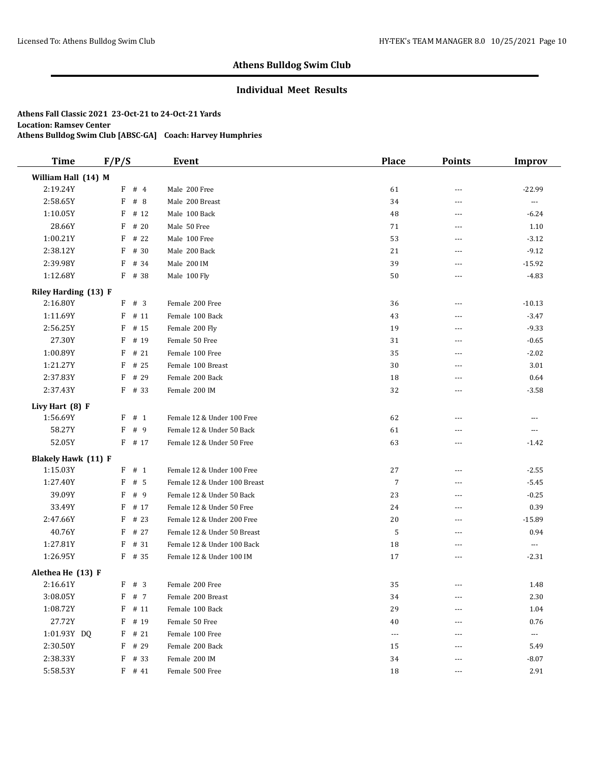## **Individual Meet Results**

| <b>Time</b>                 | F/P/S     | <b>Event</b>                 | <b>Place</b>         | <b>Points</b>  | <b>Improv</b>        |
|-----------------------------|-----------|------------------------------|----------------------|----------------|----------------------|
| William Hall (14) M         |           |                              |                      |                |                      |
| 2:19.24Y                    | $F$ # 4   | Male 200 Free                | 61                   | $\overline{a}$ | $-22.99$             |
| 2:58.65Y                    | F<br>#8   | Male 200 Breast              | 34                   | $- - -$        | $\scriptstyle\cdots$ |
| 1:10.05Y                    | F<br># 12 | Male 100 Back                | 48                   | $---$          | $-6.24$              |
| 28.66Y                      | F<br># 20 | Male 50 Free                 | 71                   | $- - -$        | 1.10                 |
| 1:00.21Y                    | F<br># 22 | Male 100 Free                | 53                   | $---$          | $-3.12$              |
| 2:38.12Y                    | # 30<br>F | Male 200 Back                | 21                   | $---$          | $-9.12$              |
| 2:39.98Y                    | F<br># 34 | Male 200 IM                  | 39                   | $- - -$        | $-15.92$             |
| 1:12.68Y                    | $F$ # 38  | Male 100 Fly                 | 50                   | $---$          | $-4.83$              |
| <b>Riley Harding (13) F</b> |           |                              |                      |                |                      |
| 2:16.80Y                    | F # 3     | Female 200 Free              | 36                   | $---$          | $-10.13$             |
| 1:11.69Y                    | F<br># 11 | Female 100 Back              | 43                   | ---            | $-3.47$              |
| 2:56.25Y                    | F<br># 15 | Female 200 Fly               | 19                   | $---$          | $-9.33$              |
| 27.30Y                      | F<br># 19 | Female 50 Free               | 31                   | ---            | $-0.65$              |
| 1:00.89Y                    | F<br># 21 | Female 100 Free              | 35                   | $- - -$        | $-2.02$              |
| 1:21.27Y                    | F<br># 25 | Female 100 Breast            | 30                   | $\overline{a}$ | 3.01                 |
| 2:37.83Y                    | F<br># 29 | Female 200 Back              | 18                   | ---            | 0.64                 |
| 2:37.43Y                    | $F$ # 33  | Female 200 IM                | 32                   | $---$          | $-3.58$              |
| Livy Hart (8) F             |           |                              |                      |                |                      |
| 1:56.69Y                    | # 1<br>F  | Female 12 & Under 100 Free   | 62                   | $- - -$        | ---                  |
| 58.27Y                      | F<br>#9   | Female 12 & Under 50 Back    | 61                   | ---            | $\cdots$             |
| 52.05Y                      | $F$ # 17  | Female 12 & Under 50 Free    | 63                   | $- - -$        | $-1.42$              |
| <b>Blakely Hawk (11) F</b>  |           |                              |                      |                |                      |
| 1:15.03Y                    | F<br># 1  | Female 12 & Under 100 Free   | 27                   | $\cdots$       | $-2.55$              |
| 1:27.40Y                    | F<br># 5  | Female 12 & Under 100 Breast | 7                    | $---$          | $-5.45$              |
| 39.09Y                      | F<br>#9   | Female 12 & Under 50 Back    | 23                   | $\cdots$       | $-0.25$              |
| 33.49Y                      | F<br># 17 | Female 12 & Under 50 Free    | 24                   | $\overline{a}$ | 0.39                 |
| 2:47.66Y                    | F<br># 23 | Female 12 & Under 200 Free   | 20                   | ---            | $-15.89$             |
| 40.76Y                      | # 27<br>F | Female 12 & Under 50 Breast  | 5                    | ---            | 0.94                 |
| 1:27.81Y                    | F<br># 31 | Female 12 & Under 100 Back   | 18                   | $- - -$        | ---                  |
| 1:26.95Y                    | F # 35    | Female 12 & Under 100 IM     | 17                   | $- - -$        | $-2.31$              |
| Alethea He (13) F           |           |                              |                      |                |                      |
| 2:16.61Y                    | $F$ # 3   | Female 200 Free              | 35                   | $---$          | 1.48                 |
| 3:08.05Y                    | # 7<br>F  | Female 200 Breast            | 34                   |                | 2.30                 |
| 1:08.72Y                    | #11<br>F  | Female 100 Back              | 29                   |                | 1.04                 |
| 27.72Y                      | F # 19    | Female 50 Free               | 40                   | ---            | 0.76                 |
| 1:01.93Y DQ                 | F<br># 21 | Female 100 Free              | $\scriptstyle\cdots$ |                | ---                  |
| 2:30.50Y                    | F<br># 29 | Female 200 Back              | 15                   | ---            | 5.49                 |
| 2:38.33Y                    | F<br># 33 | Female 200 IM                | 34                   | ---            | $-8.07$              |
| 5:58.53Y                    | $F$ # 41  | Female 500 Free              | 18                   | $---$          | 2.91                 |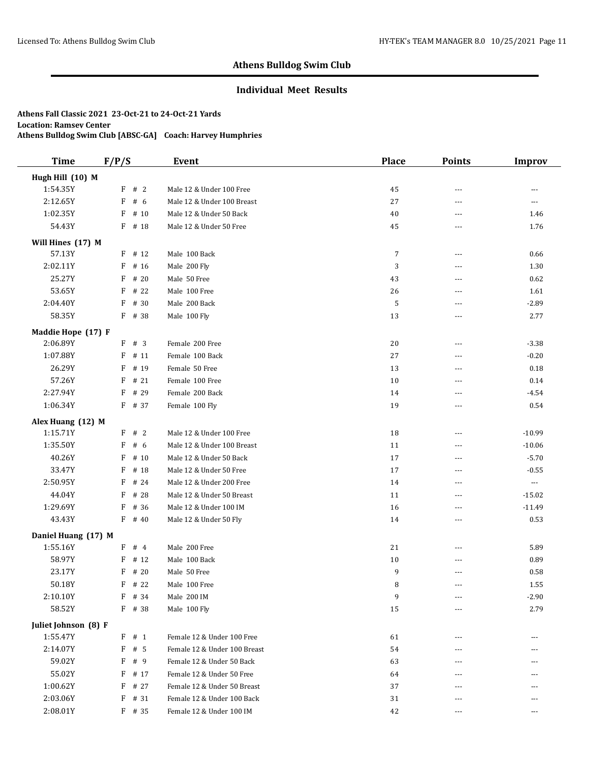## **Individual Meet Results**

| <b>Time</b>                     | F/P/S             | Event                                                  | <b>Place</b> | <b>Points</b>  | <b>Improv</b>            |
|---------------------------------|-------------------|--------------------------------------------------------|--------------|----------------|--------------------------|
| Hugh Hill (10) M                |                   |                                                        |              |                |                          |
| 1:54.35Y                        | F # 2             | Male 12 & Under 100 Free                               | 45           | $---$          | $\overline{a}$           |
| 2:12.65Y                        | F<br># $6$        | Male 12 & Under 100 Breast                             | 27           | ---            | $\overline{\phantom{a}}$ |
| 1:02.35Y                        | F<br># 10         | Male 12 & Under 50 Back                                | 40           | ---            | 1.46                     |
| 54.43Y                          | F<br># 18         | Male 12 & Under 50 Free                                | 45           | ---            | 1.76                     |
| Will Hines (17) M               |                   |                                                        |              |                |                          |
| 57.13Y                          | # 12<br>F         | Male 100 Back                                          | 7            | $\overline{a}$ | 0.66                     |
| 2:02.11Y                        | # 16<br>F         | Male 200 Fly                                           | 3            | ---            | 1.30                     |
| 25.27Y                          | F<br># 20         | Male 50 Free                                           | 43           | $- - -$        | 0.62                     |
| 53.65Y                          | # 22<br>F         | Male 100 Free                                          | 26           | ---            | 1.61                     |
| 2:04.40Y                        | F<br># 30         | Male 200 Back                                          | 5            | $- - -$        | $-2.89$                  |
| 58.35Y                          | # 38<br>F         | Male 100 Fly                                           | 13           | ---            | 2.77                     |
| Maddie Hope (17) F              |                   |                                                        |              |                |                          |
| 2:06.89Y                        | F # 3             | Female 200 Free                                        | 20           | $---$          | $-3.38$                  |
| 1:07.88Y                        | F<br># 11         | Female 100 Back                                        | 27           | ---            | $-0.20$                  |
| 26.29Y                          | F<br># 19         | Female 50 Free                                         | 13           | $\overline{a}$ | 0.18                     |
| 57.26Y                          | # 21<br>F         | Female 100 Free                                        | 10           | ---            | 0.14                     |
| 2:27.94Y                        | F<br># 29         | Female 200 Back                                        | 14           | $- - -$        | $-4.54$                  |
| 1:06.34Y                        | F<br># 37         | Female 100 Fly                                         | 19           | ---            | 0.54                     |
| Alex Huang (12) M               |                   |                                                        |              |                |                          |
| 1:15.71Y                        | F # 2             | Male 12 & Under 100 Free                               | 18           | ---            | $-10.99$                 |
| 1:35.50Y                        | F<br># 6          | Male 12 & Under 100 Breast                             | 11           | ---            | $-10.06$                 |
| 40.26Y                          | # 10<br>F         | Male 12 & Under 50 Back                                | 17           | $\overline{a}$ | $-5.70$                  |
| 33.47Y                          | F<br># 18         | Male 12 & Under 50 Free                                | 17           | $---$          | $-0.55$                  |
| 2:50.95Y                        | F<br># 24         | Male 12 & Under 200 Free                               | 14           | $---$          | $\scriptstyle \cdots$    |
| 44.04Y                          | F<br># 28         | Male 12 & Under 50 Breast                              | 11           | ---            | $-15.02$                 |
| 1:29.69Y                        | F<br># 36         | Male 12 & Under 100 IM                                 | 16           | $- - -$        | $-11.49$                 |
| 43.43Y                          | F<br># 40         | Male 12 & Under 50 Fly                                 | 14           | $\overline{a}$ | 0.53                     |
|                                 |                   |                                                        |              |                |                          |
| Daniel Huang (17) M<br>1:55.16Y | F # 4             | Male 200 Free                                          | 21           | $- - -$        | 5.89                     |
| 58.97Y                          | F<br># 12         | Male 100 Back                                          | 10           | ---            | 0.89                     |
| 23.17Y                          | F<br># 20         | Male 50 Free                                           | 9            | $- - -$        | 0.58                     |
| 50.18Y                          | F<br># 22         | Male 100 Free                                          | 8            | $---$          | 1.55                     |
| 2:10.10Y                        | F<br># 34         | Male 200 IM                                            | 9            | $---$          | $-2.90$                  |
| 58.52Y                          | $F$ # 38          | Male 100 Fly                                           | 15           |                | 2.79                     |
|                                 |                   |                                                        |              |                |                          |
| Juliet Johnson (8) F            |                   |                                                        |              |                |                          |
| 1:55.47Y                        | # 1<br>F          | Female 12 & Under 100 Free                             | 61           | ---            | $---$                    |
| 2:14.07Y<br>59.02Y              | F<br># 5          | Female 12 & Under 100 Breast                           | 54           | ---            |                          |
| 55.02Y                          | F<br># 9<br>F     | Female 12 & Under 50 Back<br>Female 12 & Under 50 Free | 63           | ---            | ---                      |
|                                 | # 17<br>F         | Female 12 & Under 50 Breast                            | 64           |                |                          |
| 1:00.62Y<br>2:03.06Y            | # 27<br># 31<br>F | Female 12 & Under 100 Back                             | 37<br>31     | ---            |                          |
| 2:08.01Y                        | $F$ # 35          | Female 12 & Under 100 IM                               | 42           | ---            | ---<br>---               |
|                                 |                   |                                                        |              | $---$          |                          |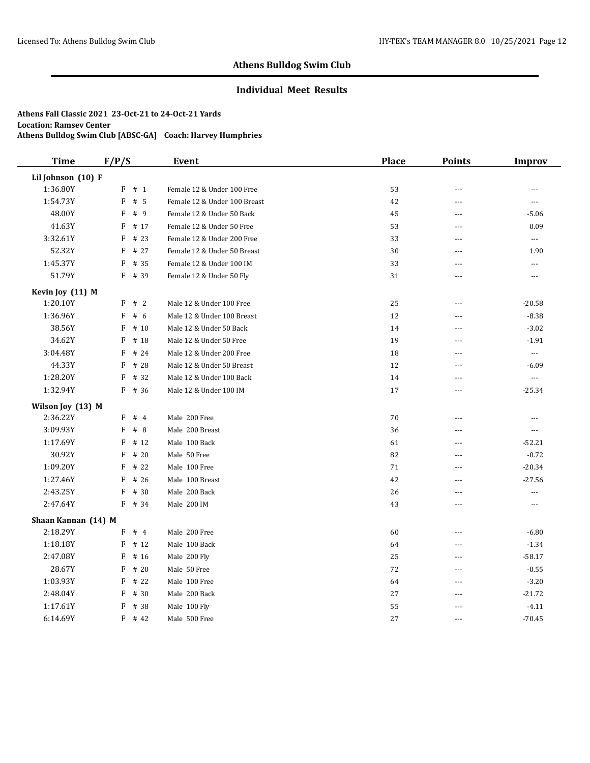## **Individual Meet Results**

| <b>Time</b>         | F/P/S      | <b>Event</b>                 | <b>Place</b> | <b>Points</b>  | <b>Improv</b>  |
|---------------------|------------|------------------------------|--------------|----------------|----------------|
| Lil Johnson (10) F  |            |                              |              |                |                |
| 1:36.80Y            | F<br># 1   | Female 12 & Under 100 Free   | 53           | $\overline{a}$ | ---            |
| 1:54.73Y            | F<br>#5    | Female 12 & Under 100 Breast | 42           | ---            | ---            |
| 48.00Y              | F<br># 9   | Female 12 & Under 50 Back    | 45           | $\cdots$       | $-5.06$        |
| 41.63Y              | F<br># 17  | Female 12 & Under 50 Free    | 53           | $-$            | 0.09           |
| 3:32.61Y            | F<br># 23  | Female 12 & Under 200 Free   | 33           | $---$          | $\ldots$       |
| 52.32Y              | F<br># 27  | Female 12 & Under 50 Breast  | 30           | $\overline{a}$ | 1.90           |
| 1:45.37Y            | F<br># 35  | Female 12 & Under 100 IM     | 33           | $ -$           | $\overline{a}$ |
| 51.79Y              | F<br># 39  | Female 12 & Under 50 Fly     | 31           | $---$          | ---            |
| Kevin Joy (11) M    |            |                              |              |                |                |
| 1:20.10Y            | #2<br>F    | Male 12 & Under 100 Free     | 25           | $\overline{a}$ | $-20.58$       |
| 1:36.96Y            | # $6$<br>F | Male 12 & Under 100 Breast   | 12           | ---            | $-8.38$        |
| 38.56Y              | F<br># 10  | Male 12 & Under 50 Back      | 14           | $-$            | $-3.02$        |
| 34.62Y              | F<br># 18  | Male 12 & Under 50 Free      | 19           | ---            | $-1.91$        |
| 3:04.48Y            | F<br># 24  | Male 12 & Under 200 Free     | 18           | $\overline{a}$ | $\ldots$       |
| 44.33Y              | F<br># 28  | Male 12 & Under 50 Breast    | 12           | $\overline{a}$ | $-6.09$        |
| 1:28.20Y            | F<br># 32  | Male 12 & Under 100 Back     | 14           | $---$          | $\ldots$       |
| 1:32.94Y            | F<br># 36  | Male 12 & Under 100 IM       | 17           | $\sim$ $\sim$  | $-25.34$       |
| Wilson Joy (13) M   |            |                              |              |                |                |
| 2:36.22Y            | F<br>#4    | Male 200 Free                | 70           | ---            | $\overline{a}$ |
| 3:09.93Y            | F<br># $8$ | Male 200 Breast              | 36           | $-$            | $\cdots$       |
| 1:17.69Y            | F<br># 12  | Male 100 Back                | 61           | ---            | $-52.21$       |
| 30.92Y              | F<br># 20  | Male 50 Free                 | 82           | ---            | $-0.72$        |
| 1:09.20Y            | F<br># 22  | Male 100 Free                | 71           | $- - -$        | $-20.34$       |
| 1:27.46Y            | F<br># 26  | Male 100 Breast              | 42           | $---$          | $-27.56$       |
| 2:43.25Y            | F<br># 30  | Male 200 Back                | 26           | ---            | ---            |
| 2:47.64Y            | F # 34     | Male 200 IM                  | 43           | $- - -$        | $---$          |
| Shaan Kannan (14) M |            |                              |              |                |                |
| 2:18.29Y            | $F$ # 4    | Male 200 Free                | 60           | ---            | $-6.80$        |
| 1:18.18Y            | F<br># 12  | Male 100 Back                | 64           | ---            | $-1.34$        |
| 2:47.08Y            | F<br># 16  | Male 200 Fly                 | 25           | ---            | $-58.17$       |
| 28.67Y              | F<br>#20   | Male 50 Free                 | 72           | $- - -$        | $-0.55$        |
| 1:03.93Y            | F<br># 22  | Male 100 Free                | 64           | $-$            | $-3.20$        |
| 2:48.04Y            | F<br># 30  | Male 200 Back                | 27           | $\overline{a}$ | $-21.72$       |
| 1:17.61Y            | F<br># 38  | Male 100 Fly                 | 55           | ---            | $-4.11$        |
| 6:14.69Y            | F<br># 42  | Male 500 Free                | 27           | $\overline{a}$ | $-70.45$       |
|                     |            |                              |              |                |                |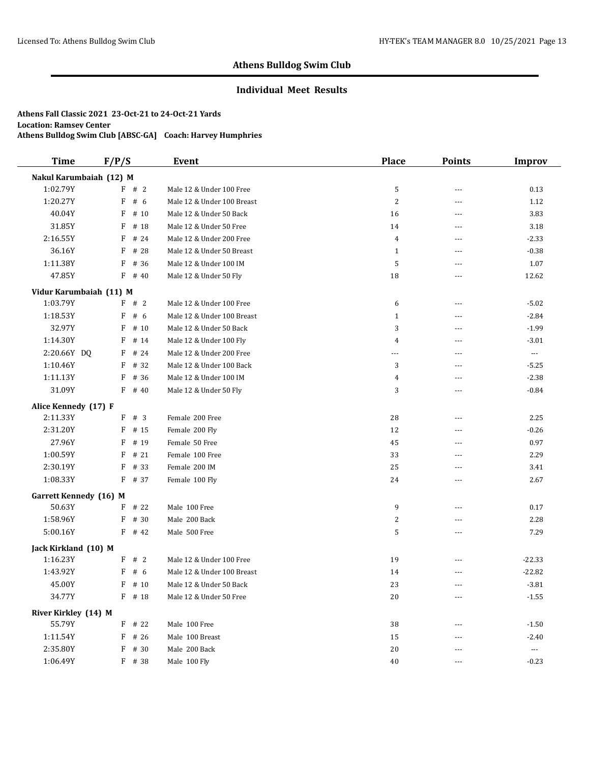## **Individual Meet Results**

| <b>Time</b>                   | F/P/S      | Event                      | <b>Place</b>   | <b>Points</b>  | <b>Improv</b>        |
|-------------------------------|------------|----------------------------|----------------|----------------|----------------------|
| Nakul Karumbaiah (12) M       |            |                            |                |                |                      |
| 1:02.79Y                      | F # 2      | Male 12 & Under 100 Free   | 5              | $\overline{a}$ | 0.13                 |
| 1:20.27Y                      | F<br># $6$ | Male 12 & Under 100 Breast | $\overline{c}$ | $\overline{a}$ | 1.12                 |
| 40.04Y                        | F<br># 10  | Male 12 & Under 50 Back    | 16             | $\overline{a}$ | 3.83                 |
| 31.85Y                        | F<br># 18  | Male 12 & Under 50 Free    | 14             | $- - -$        | 3.18                 |
| 2:16.55Y                      | # 24<br>F  | Male 12 & Under 200 Free   | $\overline{4}$ | $---$          | $-2.33$              |
| 36.16Y                        | F<br># 28  | Male 12 & Under 50 Breast  | $\mathbf{1}$   | $---$          | $-0.38$              |
| 1:11.38Y                      | F<br># 36  | Male 12 & Under 100 IM     | 5              | $---$          | 1.07                 |
| 47.85Y                        | F<br># 40  | Male 12 & Under 50 Fly     | 18             | $---$          | 12.62                |
| Vidur Karumbaiah (11) M       |            |                            |                |                |                      |
| 1:03.79Y                      | F # 2      | Male 12 & Under 100 Free   | 6              | ---            | $-5.02$              |
| 1:18.53Y                      | F<br># 6   | Male 12 & Under 100 Breast | $\mathbf{1}$   | $---$          | $-2.84$              |
| 32.97Y                        | F<br># 10  | Male 12 & Under 50 Back    | 3              | ---            | $-1.99$              |
| 1:14.30Y                      | F<br># 14  | Male 12 & Under 100 Fly    | 4              | ---            | $-3.01$              |
| 2:20.66Y DQ                   | F<br># 24  | Male 12 & Under 200 Free   | $\overline{a}$ | $---$          | $\ldots$             |
| 1:10.46Y                      | # 32<br>F  | Male 12 & Under 100 Back   | 3              | $\overline{a}$ | $-5.25$              |
| 1:11.13Y                      | # 36<br>F  | Male 12 & Under 100 IM     | 4              | $---$          | $-2.38$              |
| 31.09Y                        | F<br># 40  | Male 12 & Under 50 Fly     | 3              | ---            | $-0.84$              |
| Alice Kennedy (17) F          |            |                            |                |                |                      |
| 2:11.33Y                      | #3<br>F    | Female 200 Free            | 28             | $---$          | 2.25                 |
| 2:31.20Y                      | F<br># 15  | Female 200 Fly             | 12             | $- - -$        | $-0.26$              |
| 27.96Y                        | F<br># 19  | Female 50 Free             | 45             | $\overline{a}$ | 0.97                 |
| 1:00.59Y                      | F<br># 21  | Female 100 Free            | 33             | ---            | 2.29                 |
| 2:30.19Y                      | F<br># 33  | Female 200 IM              | 25             | ---            | 3.41                 |
| 1:08.33Y                      | F<br># 37  | Female 100 Fly             | 24             | ---            | 2.67                 |
| <b>Garrett Kennedy</b> (16) M |            |                            |                |                |                      |
| 50.63Y                        | # 22<br>F  | Male 100 Free              | 9              | ---            | 0.17                 |
| 1:58.96Y                      | F<br># 30  | Male 200 Back              | 2              | ---            | 2.28                 |
| 5:00.16Y                      | F<br># 42  | Male 500 Free              | 5              | ---            | 7.29                 |
| Jack Kirkland (10) M          |            |                            |                |                |                      |
| 1:16.23Y                      | F # 2      | Male 12 & Under 100 Free   | 19             | ---            | $-22.33$             |
| 1:43.92Y                      | F<br># 6   | Male 12 & Under 100 Breast | 14             | ---            | $-22.82$             |
| 45.00Y                        | $F$ # 10   | Male 12 & Under 50 Back    | 23             | $---$          | $-3.81$              |
| 34.77Y                        | $F$ # 18   | Male 12 & Under 50 Free    | 20             | $\overline{a}$ | $-1.55$              |
| River Kirkley (14) M          |            |                            |                |                |                      |
| 55.79Y                        | $F$ # 22   | Male 100 Free              | 38             |                | $-1.50$              |
| 1:11.54Y                      | F<br># 26  | Male 100 Breast            | 15             |                | $-2.40$              |
| 2:35.80Y                      | # 30<br>F  | Male 200 Back              | 20             | $---$          | $\scriptstyle\cdots$ |
| 1:06.49Y                      | F # 38     | Male 100 Fly               | 40             | ---            | $-0.23$              |
|                               |            |                            |                |                |                      |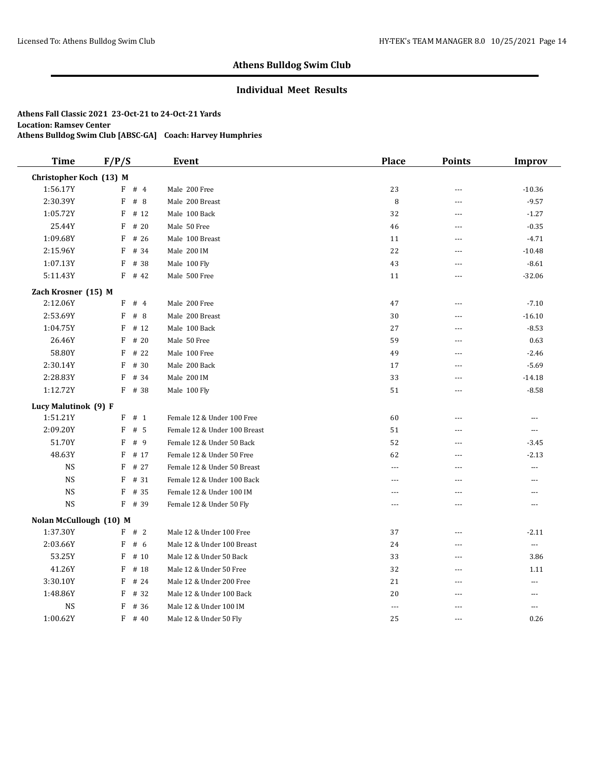## **Individual Meet Results**

| <b>Time</b>             | F/P/S     | <b>Event</b>                 | <b>Place</b>         | <b>Points</b>  | <b>Improv</b>  |
|-------------------------|-----------|------------------------------|----------------------|----------------|----------------|
| Christopher Koch (13) M |           |                              |                      |                |                |
| 1:56.17Y                | #4<br>F   | Male 200 Free                | 23                   | $\sim$         | $-10.36$       |
| 2:30.39Y                | F<br>#8   | Male 200 Breast              | 8                    | $-$            | $-9.57$        |
| 1:05.72Y                | F<br># 12 | Male 100 Back                | 32                   | $\cdots$       | $-1.27$        |
| 25.44Y                  | F<br>#20  | Male 50 Free                 | 46                   | $-$            | $-0.35$        |
| 1:09.68Y                | # 26<br>F | Male 100 Breast              | 11                   | $\overline{a}$ | $-4.71$        |
| 2:15.96Y                | # 34<br>F | Male 200 IM                  | 22                   | $\overline{a}$ | $-10.48$       |
| 1:07.13Y                | F<br># 38 | Male 100 Fly                 | 43                   | $- - -$        | $-8.61$        |
| 5:11.43Y                | F<br># 42 | Male 500 Free                | 11                   | $---$          | $-32.06$       |
| Zach Krosner (15) M     |           |                              |                      |                |                |
| 2:12.06Y                | #4<br>F   | Male 200 Free                | 47                   | ---            | $-7.10$        |
| 2:53.69Y                | #8<br>F   | Male 200 Breast              | 30                   | $- - -$        | $-16.10$       |
| 1:04.75Y                | F<br>#12  | Male 100 Back                | 27                   | ---            | $-8.53$        |
| 26.46Y                  | F<br># 20 | Male 50 Free                 | 59                   | $ -$           | 0.63           |
| 58.80Y                  | F<br># 22 | Male 100 Free                | 49                   | $\overline{a}$ | $-2.46$        |
| 2:30.14Y                | # 30<br>F | Male 200 Back                | 17                   | $\sim$         | $-5.69$        |
| 2:28.83Y                | F<br># 34 | Male 200 IM                  | 33                   | $-$            | $-14.18$       |
| 1:12.72Y                | F<br># 38 | Male 100 Fly                 | 51                   | $\sim$ $\sim$  | $-8.58$        |
| Lucy Malutinok (9) F    |           |                              |                      |                |                |
| 1:51.21Y                | F<br># 1  | Female 12 & Under 100 Free   | 60                   | $\overline{a}$ | ---            |
| 2:09.20Y                | F<br># 5  | Female 12 & Under 100 Breast | 51                   | ---            | $\cdots$       |
| 51.70Y                  | F<br>#9   | Female 12 & Under 50 Back    | 52                   | $-$            | $-3.45$        |
| 48.63Y                  | F<br># 17 | Female 12 & Under 50 Free    | 62                   | $- - -$        | $-2.13$        |
| <b>NS</b>               | F<br># 27 | Female 12 & Under 50 Breast  | $- - -$              | $\overline{a}$ | $\overline{a}$ |
| <b>NS</b>               | F<br># 31 | Female 12 & Under 100 Back   | $\overline{a}$       | $-$            | $\overline{a}$ |
| <b>NS</b>               | F<br># 35 | Female 12 & Under 100 IM     | $---$                | $- - -$        | $\overline{a}$ |
| <b>NS</b>               | $F$ # 39  | Female 12 & Under 50 Fly     | $---$                | $- - -$        | $\overline{a}$ |
| Nolan McCullough (10) M |           |                              |                      |                |                |
| 1:37.30Y                | F # 2     | Male 12 & Under 100 Free     | 37                   | $\overline{a}$ | $-2.11$        |
| 2:03.66Y                | F<br>#6   | Male 12 & Under 100 Breast   | 24                   | $\overline{a}$ | $\ldots$       |
| 53.25Y                  | F<br>#10  | Male 12 & Under 50 Back      | 33                   | $-$ --         | 3.86           |
| 41.26Y                  | F<br># 18 | Male 12 & Under 50 Free      | 32                   | $-$            | 1.11           |
| 3:30.10Y                | F<br># 24 | Male 12 & Under 200 Free     | 21                   | $\overline{a}$ | ---            |
| 1:48.86Y                | F<br># 32 | Male 12 & Under 100 Back     | 20                   | ---            | $\overline{a}$ |
| $_{\rm NS}$             | F<br># 36 | Male 12 & Under 100 IM       | $\sim$ $\sim$ $\sim$ | $-$            | $\overline{a}$ |
| 1:00.62Y                | F<br># 40 | Male 12 & Under 50 Fly       | 25                   | ---            | 0.26           |
|                         |           |                              |                      |                |                |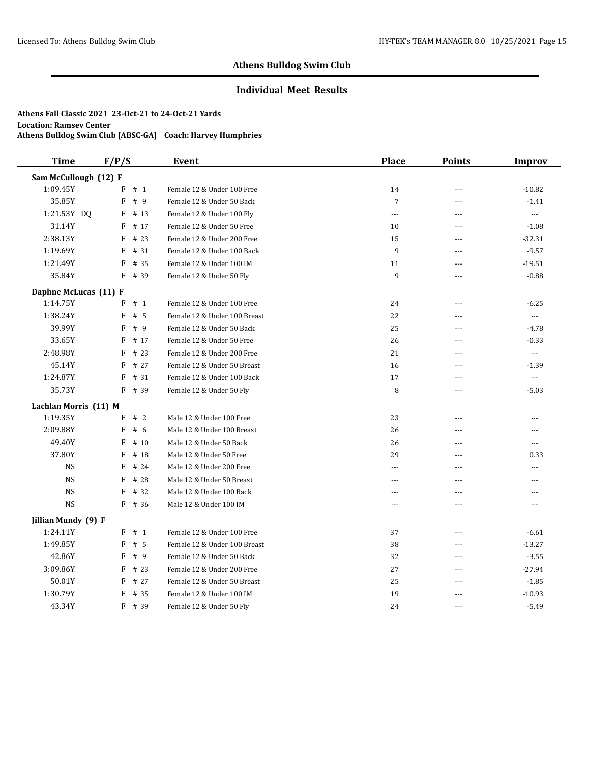## **Individual Meet Results**

| <b>Time</b>           | F/P/S |      | Event                        | <b>Place</b>   | <b>Points</b>  | <b>Improv</b>            |
|-----------------------|-------|------|------------------------------|----------------|----------------|--------------------------|
| Sam McCullough (12) F |       |      |                              |                |                |                          |
| 1:09.45Y              | F     | # 1  | Female 12 & Under 100 Free   | 14             | ---            | $-10.82$                 |
| 35.85Y                | F     | #9   | Female 12 & Under 50 Back    | $\overline{7}$ | ---            | $-1.41$                  |
| 1:21.53Y DQ           | F     | # 13 | Female 12 & Under 100 Fly    | $\cdots$       | ---            | $\ldots$                 |
| 31.14Y                | F     | # 17 | Female 12 & Under 50 Free    | 10             | $\overline{a}$ | $-1.08$                  |
| 2:38.13Y              | F     | # 23 | Female 12 & Under 200 Free   | 15             | $\overline{a}$ | $-32.31$                 |
| 1:19.69Y              | F     | # 31 | Female 12 & Under 100 Back   | 9              | $---$          | $-9.57$                  |
| 1:21.49Y              | F     | # 35 | Female 12 & Under 100 IM     | 11             | $---$          | $-19.51$                 |
| 35.84Y                | F     | # 39 | Female 12 & Under 50 Fly     | 9              | $---$          | $-0.88$                  |
| Daphne McLucas (11) F |       |      |                              |                |                |                          |
| 1:14.75Y              | F     | # 1  | Female 12 & Under 100 Free   | 24             | $\sim$         | $-6.25$                  |
| 1:38.24Y              | F     | #5   | Female 12 & Under 100 Breast | 22             | ---            | $\overline{\phantom{a}}$ |
| 39.99Y                | F     | #9   | Female 12 & Under 50 Back    | 25             | ---            | $-4.78$                  |
| 33.65Y                | F     | # 17 | Female 12 & Under 50 Free    | 26             | ---            | $-0.33$                  |
| 2:48.98Y              | F     | # 23 | Female 12 & Under 200 Free   | 21             | $\overline{a}$ | $\overline{a}$           |
| 45.14Y                | F     | # 27 | Female 12 & Under 50 Breast  | 16             | $\overline{a}$ | $-1.39$                  |
| 1:24.87Y              | F     | # 31 | Female 12 & Under 100 Back   | 17             | $---$          | $\overline{a}$           |
| 35.73Y                | F     | # 39 | Female 12 & Under 50 Fly     | 8              | $\sim$         | $-5.03$                  |
| Lachlan Morris (11) M |       |      |                              |                |                |                          |
| 1:19.35Y              | F     | # 2  | Male 12 & Under 100 Free     | 23             | $\overline{a}$ | $---$                    |
| 2:09.88Y              | F     | # 6  | Male 12 & Under 100 Breast   | 26             | $-$            | ---                      |
| 49.40Y                | F     | # 10 | Male 12 & Under 50 Back      | 26             | $\overline{a}$ | $\overline{a}$           |
| 37.80Y                | F     | # 18 | Male 12 & Under 50 Free      | 29             | $\overline{a}$ | 0.33                     |
| <b>NS</b>             | F     | # 24 | Male 12 & Under 200 Free     | $---$          | ---            | ---                      |
| <b>NS</b>             | F     | # 28 | Male 12 & Under 50 Breast    | $---$          | ---            | ---                      |
| <b>NS</b>             | F     | # 32 | Male 12 & Under 100 Back     | $---$          | ---            | ---                      |
| <b>NS</b>             | F     | # 36 | Male 12 & Under 100 IM       | $---$          | $\overline{a}$ | ---                      |
| Jillian Mundy (9) F   |       |      |                              |                |                |                          |
| 1:24.11Y              | F     | # 1  | Female 12 & Under 100 Free   | 37             | $\overline{a}$ | $-6.61$                  |
| 1:49.85Y              | F     | # 5  | Female 12 & Under 100 Breast | 38             | $\overline{a}$ | $-13.27$                 |
| 42.86Y                | F     | #9   | Female 12 & Under 50 Back    | 32             | $---$          | $-3.55$                  |
| 3:09.86Y              | F     | # 23 | Female 12 & Under 200 Free   | 27             | $---$          | $-27.94$                 |
| 50.01Y                | F     | # 27 | Female 12 & Under 50 Breast  | 25             | $\overline{a}$ | $-1.85$                  |
| 1:30.79Y              | F     | # 35 | Female 12 & Under 100 IM     | 19             | $- - -$        | $-10.93$                 |
| 43.34Y                | F     | # 39 | Female 12 & Under 50 Fly     | 24             | $\sim$         | $-5.49$                  |
|                       |       |      |                              |                |                |                          |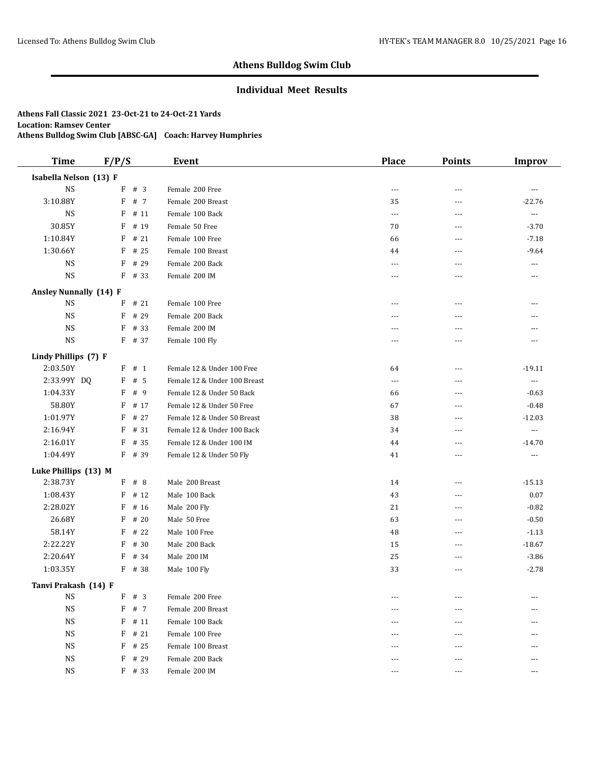## **Individual Meet Results**

| <b>Time</b>            | F/P/S |          | Event                        | <b>Place</b>   | <b>Points</b> | Improv               |
|------------------------|-------|----------|------------------------------|----------------|---------------|----------------------|
| Isabella Nelson (13) F |       |          |                              |                |               |                      |
| <b>NS</b>              |       | F # 3    | Female 200 Free              | ---            | ---           | $\cdots$             |
| 3:10.88Y               | F     | # 7      | Female 200 Breast            | 35             | ---           | $-22.76$             |
| <b>NS</b>              | F     | # 11     | Female 100 Back              | $\overline{a}$ | ---           | $\cdots$             |
| 30.85Y                 | F     | # 19     | Female 50 Free               | 70             | ---           | $-3.70$              |
| 1:10.84Y               | F     | # 21     | Female 100 Free              | 66             | ---           | $-7.18$              |
| 1:30.66Y               | F     | # 25     | Female 100 Breast            | 44             | ---           | $-9.64$              |
| <b>NS</b>              | F     | # 29     | Female 200 Back              | $\overline{a}$ | $---$         | $\cdots$             |
| <b>NS</b>              |       | $F$ # 33 | Female 200 IM                | ---            | ---           | $\cdots$             |
| Ansley Nunnally (14) F |       |          |                              |                |               |                      |
| NS                     | F     | # 21     | Female 100 Free              | ---            | ---           | ---                  |
| <b>NS</b>              | F     | # 29     | Female 200 Back              | ---            | ---           | ---                  |
| <b>NS</b>              | F     | # 33     | Female 200 IM                | ---            | ---           | ---                  |
| <b>NS</b>              |       | F # 37   | Female 100 Fly               | ---            | ---           | ---                  |
| Lindy Phillips (7) F   |       |          |                              |                |               |                      |
| 2:03.50Y               |       | $F$ # 1  | Female 12 & Under 100 Free   | 64             | $\cdots$      | $-19.11$             |
| 2:33.99Y DQ            | F     | # 5      | Female 12 & Under 100 Breast | $\overline{a}$ | ---           | $\scriptstyle\cdots$ |
| 1:04.33Y               | F     | # 9      | Female 12 & Under 50 Back    | 66             | ---           | $-0.63$              |
| 58.80Y                 | F     | # 17     | Female 12 & Under 50 Free    | 67             | $---$         | $-0.48$              |
| 1:01.97Y               | F     | # 27     | Female 12 & Under 50 Breast  | 38             | ---           | $-12.03$             |
| 2:16.94Y               | F     | # 31     | Female 12 & Under 100 Back   | 34             | ---           | $\scriptstyle\cdots$ |
| 2:16.01Y               | F     | # 35     | Female 12 & Under 100 IM     | 44             | $---$         | $-14.70$             |
| 1:04.49Y               |       | F # 39   | Female 12 & Under 50 Fly     | 41             | ---           | $\cdots$             |
| Luke Phillips (13) M   |       |          |                              |                |               |                      |
| 2:38.73Y               |       | $F$ # 8  | Male 200 Breast              | 14             | ---           | $-15.13$             |
| 1:08.43Y               | F     | # 12     | Male 100 Back                | 43             | $\cdots$      | $0.07\,$             |
| 2:28.02Y               | F     | # 16     | Male 200 Fly                 | 21             | ---           | $-0.82$              |
| 26.68Y                 | F     | #20      | Male 50 Free                 | 63             | ---           | $-0.50$              |
| 58.14Y                 | F     | # 22     | Male 100 Free                | 48             | ---           | $-1.13$              |
| 2:22.22Y               | F     | # 30     | Male 200 Back                | 15             | ---           | $-18.67$             |
| 2:20.64Y               | F     | # 34     | Male 200 IM                  | 25             | $---$         | $-3.86$              |
| 1:03.35Y               |       | F # 38   | Male 100 Fly                 | 33             | ---           | $-2.78$              |
| Tanvi Prakash (14) F   |       |          |                              |                |               |                      |
| <b>NS</b>              | F     | # 3      | Female 200 Free              |                |               |                      |
| <b>NS</b>              | F     | # 7      | Female 200 Breast            |                | ---           |                      |
| <b>NS</b>              | F     | # 11     | Female 100 Back              |                |               |                      |
| <b>NS</b>              | F     | # 21     | Female 100 Free              |                |               |                      |
| <b>NS</b>              | F     | # 25     | Female 100 Breast            | ---            |               |                      |
| <b>NS</b>              | F     | # 29     | Female 200 Back              | ---            | ---           | ---                  |
| <b>NS</b>              |       | $F$ # 33 | Female 200 IM                | $---$          | $---$         | $---$                |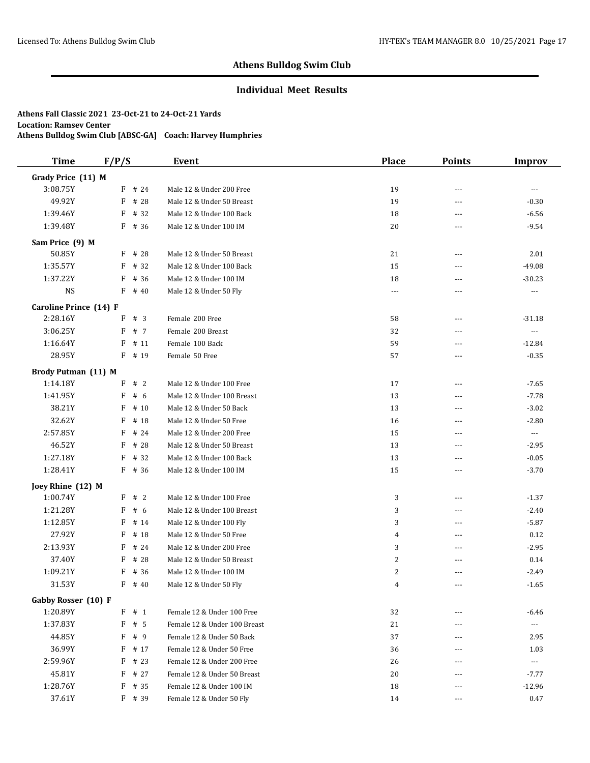## **Individual Meet Results**

| <b>Time</b>            | F/P/S     | Event                        | <b>Place</b>   | <b>Points</b>  | <b>Improv</b>            |
|------------------------|-----------|------------------------------|----------------|----------------|--------------------------|
| Grady Price (11) M     |           |                              |                |                |                          |
| 3:08.75Y               | F # 24    | Male 12 & Under 200 Free     | 19             | $\sim$ $\sim$  | $\overline{a}$           |
| 49.92Y                 | F<br># 28 | Male 12 & Under 50 Breast    | 19             | $\overline{a}$ | $-0.30$                  |
| 1:39.46Y               | F<br># 32 | Male 12 & Under 100 Back     | 18             | $\overline{a}$ | $-6.56$                  |
| 1:39.48Y               | # 36<br>F | Male 12 & Under 100 IM       | 20             | $\overline{a}$ | $-9.54$                  |
| Sam Price (9) M        |           |                              |                |                |                          |
| 50.85Y                 | # 28<br>F | Male 12 & Under 50 Breast    | 21             | $---$          | 2.01                     |
| 1:35.57Y               | # 32<br>F | Male 12 & Under 100 Back     | 15             | $---$          | $-49.08$                 |
| 1:37.22Y               | # 36<br>F | Male 12 & Under 100 IM       | 18             | $\sim$ $\sim$  | $-30.23$                 |
| <b>NS</b>              | F<br># 40 | Male 12 & Under 50 Fly       | $\cdots$       | ---            | $\ldots$                 |
| Caroline Prince (14) F |           |                              |                |                |                          |
| 2:28.16Y               | #3<br>F   | Female 200 Free              | 58             | $---$          | $-31.18$                 |
| 3:06.25Y               | F<br># 7  | Female 200 Breast            | 32             | $\overline{a}$ | $\overline{\phantom{a}}$ |
| 1:16.64Y               | # 11<br>F | Female 100 Back              | 59             | $---$          | $-12.84$                 |
| 28.95Y                 | $F$ # 19  | Female 50 Free               | 57             | $\overline{a}$ | $-0.35$                  |
| Brody Putman (11) M    |           |                              |                |                |                          |
| 1:14.18Y               | F # 2     | Male 12 & Under 100 Free     | 17             | $---$          | $-7.65$                  |
| 1:41.95Y               | F<br># 6  | Male 12 & Under 100 Breast   | 13             | $- - -$        | $-7.78$                  |
| 38.21Y                 | F<br># 10 | Male 12 & Under 50 Back      | 13             | $\overline{a}$ | $-3.02$                  |
| 32.62Y                 | F<br># 18 | Male 12 & Under 50 Free      | 16             | ---            | $-2.80$                  |
| 2:57.85Y               | F<br># 24 | Male 12 & Under 200 Free     | 15             | $\sim$ $\sim$  | $\ldots$                 |
| 46.52Y                 | F<br># 28 | Male 12 & Under 50 Breast    | 13             | $\cdots$       | $-2.95$                  |
| 1:27.18Y               | # 32<br>F | Male 12 & Under 100 Back     | 13             | $\sim$ $\sim$  | $-0.05$                  |
| 1:28.41Y               | $F$ # 36  | Male 12 & Under 100 IM       | 15             | $---$          | $-3.70$                  |
| Joey Rhine (12) M      |           |                              |                |                |                          |
| 1:00.74Y               | F<br>#2   | Male 12 & Under 100 Free     | 3              | $---$          | $-1.37$                  |
| 1:21.28Y               | # 6<br>F  | Male 12 & Under 100 Breast   | 3              | $---$          | $-2.40$                  |
| 1:12.85Y               | F<br># 14 | Male 12 & Under 100 Fly      | 3              | $\overline{a}$ | $-5.87$                  |
| 27.92Y                 | F<br># 18 | Male 12 & Under 50 Free      | $\overline{4}$ | ---            | 0.12                     |
| 2:13.93Y               | F<br># 24 | Male 12 & Under 200 Free     | 3              | $\overline{a}$ | $-2.95$                  |
| 37.40Y                 | F<br># 28 | Male 12 & Under 50 Breast    | 2              | ---            | 0.14                     |
| 1:09.21Y               | F<br># 36 | Male 12 & Under 100 IM       | 2              | $- - -$        | $-2.49$                  |
| 31.53Y                 | F<br># 40 | Male 12 & Under 50 Fly       | $\overline{4}$ | $---$          | $-1.65$                  |
| Gabby Rosser (10) F    |           |                              |                |                |                          |
| 1:20.89Y               | $F$ # 1   | Female 12 & Under 100 Free   | 32             |                | $-6.46$                  |
| 1:37.83Y               | F<br># 5  | Female 12 & Under 100 Breast | 21             | ---            | $\scriptstyle \cdots$    |
| 44.85Y                 | F<br>#9   | Female 12 & Under 50 Back    | 37             | ---            | 2.95                     |
| 36.99Y                 | F<br># 17 | Female 12 & Under 50 Free    | 36             | ---            | 1.03                     |
| 2:59.96Y               | F<br># 23 | Female 12 & Under 200 Free   | 26             | ---            | $\scriptstyle\cdots$     |
| 45.81Y                 | F<br># 27 | Female 12 & Under 50 Breast  | 20             |                | $-7.77$                  |
| 1:28.76Y               | F<br># 35 | Female 12 & Under 100 IM     | 18             | ---            | $-12.96$                 |
| 37.61Y                 | $F$ # 39  | Female 12 & Under 50 Fly     | 14             | ---            | 0.47                     |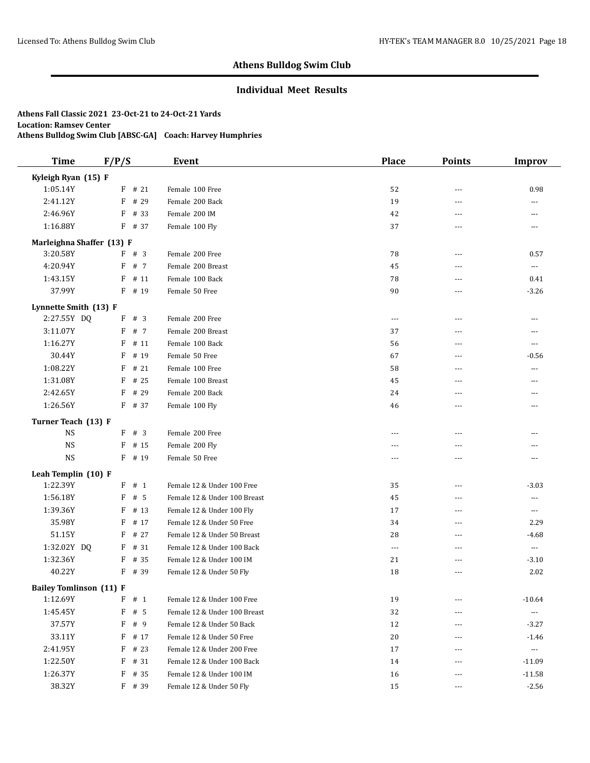## **Individual Meet Results**

| <b>Time</b>                    | F/P/S     | Event                        | <b>Place</b>   | <b>Points</b>  | <b>Improv</b>            |
|--------------------------------|-----------|------------------------------|----------------|----------------|--------------------------|
| Kyleigh Ryan (15) F            |           |                              |                |                |                          |
| 1:05.14Y                       | $F$ # 21  | Female 100 Free              | 52             | ---            | 0.98                     |
| 2:41.12Y                       | F<br># 29 | Female 200 Back              | 19             | ---            | $---$                    |
| 2:46.96Y                       | F<br># 33 | Female 200 IM                | 42             | ---            | ---                      |
| 1:16.88Y                       | F<br># 37 | Female 100 Fly               | 37             | $- - -$        | $---$                    |
| Marleighna Shaffer (13) F      |           |                              |                |                |                          |
| 3:20.58Y                       | $F$ # 3   | Female 200 Free              | 78             | $- - -$        | 0.57                     |
| 4:20.94Y                       | # 7<br>F  | Female 200 Breast            | 45             | ---            | ---                      |
| 1:43.15Y                       | # 11<br>F | Female 100 Back              | 78             | $- - -$        | 0.41                     |
| 37.99Y                         | F<br># 19 | Female 50 Free               | 90             | ---            | $-3.26$                  |
| Lynnette Smith (13) F          |           |                              |                |                |                          |
| 2:27.55Y DQ                    | #3<br>F   | Female 200 Free              | $---$          | $---$          | $\overline{a}$           |
| 3:11.07Y                       | # 7<br>F  | Female 200 Breast            | 37             | ---            | ---                      |
| 1:16.27Y                       | F<br># 11 | Female 100 Back              | 56             | $- - -$        | $\overline{a}$           |
| 30.44Y                         | F<br># 19 | Female 50 Free               | 67             | ---            | $-0.56$                  |
| 1:08.22Y                       | F<br>#21  | Female 100 Free              | 58             | ---            | ---                      |
| 1:31.08Y                       | F<br># 25 | Female 100 Breast            | 45             | $\overline{a}$ | ---                      |
| 2:42.65Y                       | F<br># 29 | Female 200 Back              | 24             | $- - -$        | ---                      |
| 1:26.56Y                       | F<br># 37 | Female 100 Fly               | 46             | ---            | ---                      |
| Turner Teach (13) F            |           |                              |                |                |                          |
| <b>NS</b>                      | F # 3     | Female 200 Free              | $---$          | ---            | ---                      |
| <b>NS</b>                      | F<br># 15 | Female 200 Fly               | $\overline{a}$ | ---            | ---                      |
| $_{\rm NS}$                    | F # 19    | Female 50 Free               | $---$          | $---$          | $---$                    |
| Leah Templin (10) F            |           |                              |                |                |                          |
| 1:22.39Y                       | # 1<br>F  | Female 12 & Under 100 Free   | 35             | ---            | $-3.03$                  |
| 1:56.18Y                       | # 5<br>F  | Female 12 & Under 100 Breast | 45             | $- - -$        | ---                      |
| 1:39.36Y                       | F<br># 13 | Female 12 & Under 100 Fly    | 17             | ---            | $\cdots$                 |
| 35.98Y                         | F<br># 17 | Female 12 & Under 50 Free    | 34             | $- - -$        | 2.29                     |
| 51.15Y                         | F<br># 27 | Female 12 & Under 50 Breast  | 28             | ---            | $-4.68$                  |
| 1:32.02Y DQ                    | # 31<br>F | Female 12 & Under 100 Back   | $\overline{a}$ | $\overline{a}$ | $\overline{\phantom{a}}$ |
| 1:32.36Y                       | # 35<br>F | Female 12 & Under 100 IM     | 21             | ---            | $-3.10$                  |
| 40.22Y                         | F<br># 39 | Female 12 & Under 50 Fly     | 18             | ---            | 2.02                     |
| <b>Bailey Tomlinson (11) F</b> |           |                              |                |                |                          |
| 1:12.69Y                       | $F$ # 1   | Female 12 & Under 100 Free   | 19             |                | $-10.64$                 |
| 1:45.45Y                       | F<br># 5  | Female 12 & Under 100 Breast | 32             | $---$          | $\scriptstyle\cdots$     |
| 37.57Y                         | # 9<br>F  | Female 12 & Under 50 Back    | 12             | ---            | $-3.27$                  |
| 33.11Y                         | F<br># 17 | Female 12 & Under 50 Free    | 20             | ---            | $-1.46$                  |
| 2:41.95Y                       | $F$ # 23  | Female 12 & Under 200 Free   | 17             | ---            | $\hspace{0.05cm} \ldots$ |
| 1:22.50Y                       | $F$ # 31  | Female 12 & Under 100 Back   | 14             | ---            | $-11.09$                 |
| 1:26.37Y                       | F<br># 35 | Female 12 & Under 100 IM     | 16             | ---            | $-11.58$                 |
| 38.32Y                         | F # 39    | Female 12 & Under 50 Fly     | 15             | ---            | $-2.56$                  |
|                                |           |                              |                |                |                          |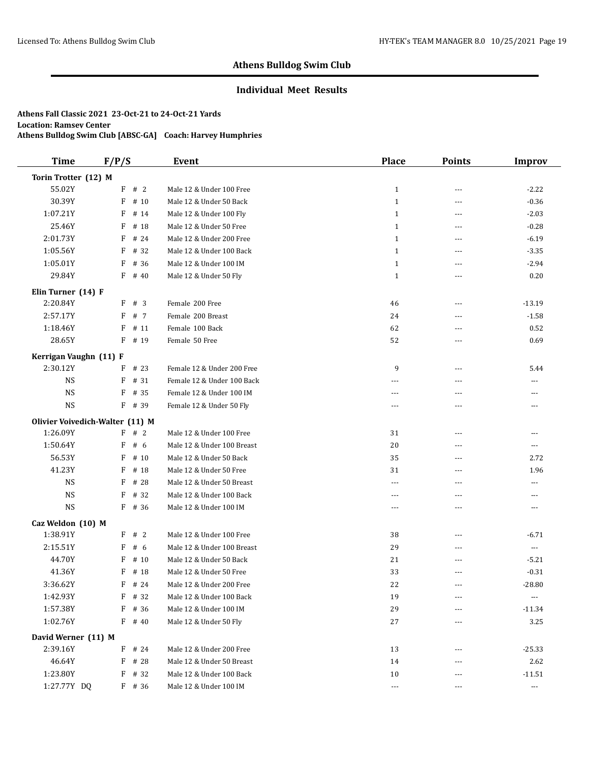## **Individual Meet Results**

| <b>Time</b>                     | F/P/S      | <b>Event</b>               | <b>Place</b> | <b>Points</b>  | Improv               |
|---------------------------------|------------|----------------------------|--------------|----------------|----------------------|
| Torin Trotter (12) M            |            |                            |              |                |                      |
| 55.02Y                          | $F$ # 2    | Male 12 & Under 100 Free   | $\mathbf{1}$ | ---            | $-2.22$              |
| 30.39Y                          | F<br># 10  | Male 12 & Under 50 Back    | $\mathbf{1}$ | $- - -$        | $-0.36$              |
| 1:07.21Y                        | F<br># 14  | Male 12 & Under 100 Fly    | $\mathbf{1}$ | $---$          | $-2.03$              |
| 25.46Y                          | F<br># 18  | Male 12 & Under 50 Free    | $\mathbf{1}$ | $- - -$        | $-0.28$              |
| 2:01.73Y                        | # 24<br>F  | Male 12 & Under 200 Free   | $\mathbf{1}$ | $\sim$ $\sim$  | $-6.19$              |
| 1:05.56Y                        | F<br># 32  | Male 12 & Under 100 Back   | $\mathbf{1}$ | $---$          | $-3.35$              |
| 1:05.01Y                        | F<br># 36  | Male 12 & Under 100 IM     | $\mathbf{1}$ | $- - -$        | $-2.94$              |
| 29.84Y                          | F<br># 40  | Male 12 & Under 50 Fly     | $\mathbf{1}$ | ---            | 0.20                 |
| Elin Turner (14) F              |            |                            |              |                |                      |
| 2:20.84Y                        | F<br>#3    | Female 200 Free            | 46           | $---$          | $-13.19$             |
| 2:57.17Y                        | F<br># 7   | Female 200 Breast          | 24           | ---            | $-1.58$              |
| 1:18.46Y                        | F<br># 11  | Female 100 Back            | 62           | $---$          | 0.52                 |
| 28.65Y                          | F<br># 19  | Female 50 Free             | 52           | ---            | 0.69                 |
| Kerrigan Vaughn (11) F          |            |                            |              |                |                      |
| 2:30.12Y                        | # 23<br>F  | Female 12 & Under 200 Free | 9            | $---$          | 5.44                 |
| <b>NS</b>                       | F<br># 31  | Female 12 & Under 100 Back | $---$        | $---$          | ---                  |
| <b>NS</b>                       | F<br># 35  | Female 12 & Under 100 IM   | ---          | ---            | ---                  |
| <b>NS</b>                       | F # 39     | Female 12 & Under 50 Fly   | $  -$        | $- - -$        | ---                  |
| Olivier Voivedich-Walter (11) M |            |                            |              |                |                      |
| 1:26.09Y                        | F # 2      | Male 12 & Under 100 Free   | 31           | ---            | ---                  |
| 1:50.64Y                        | # $6$<br>F | Male 12 & Under 100 Breast | 20           | $\overline{a}$ | ---                  |
| 56.53Y                          | F<br># 10  | Male 12 & Under 50 Back    | 35           | $\cdots$       | 2.72                 |
| 41.23Y                          | F<br># 18  | Male 12 & Under 50 Free    | 31           | ---            | 1.96                 |
| <b>NS</b>                       | F<br># 28  | Male 12 & Under 50 Breast  | $\cdots$     | ---            | ---                  |
| <b>NS</b>                       | F<br># 32  | Male 12 & Under 100 Back   | $\cdots$     | $---$          | $---$                |
| <b>NS</b>                       | F<br># 36  | Male 12 & Under 100 IM     | $\cdots$     | ---            | ---                  |
| Caz Weldon (10) M               |            |                            |              |                |                      |
| 1:38.91Y                        | #2<br>F    | Male 12 & Under 100 Free   | 38           | $\cdots$       | $-6.71$              |
| 2:15.51Y                        | F<br># 6   | Male 12 & Under 100 Breast | 29           | ---            | $\scriptstyle\cdots$ |
| 44.70Y                          | F<br># 10  | Male 12 & Under 50 Back    | 21           | ---            | $-5.21$              |
| 41.36Y                          | # 18<br>F  | Male 12 & Under 50 Free    | 33           | ---            | $-0.31$              |
| 3:36.62Y                        | F<br># 24  | Male 12 & Under 200 Free   | 22           | $---$          | $-28.80$             |
| 1:42.93Y                        | # 32<br>F  | Male 12 & Under 100 Back   | 19           | ---            | ---                  |
| 1:57.38Y                        | # 36<br>F  | Male 12 & Under 100 IM     | 29           |                | $-11.34$             |
| 1:02.76Y                        | $F$ # 40   | Male 12 & Under 50 Fly     | 27           | ---            | 3.25                 |
| David Werner (11) M             |            |                            |              |                |                      |
| 2:39.16Y                        | F<br># 24  | Male 12 & Under 200 Free   | 13           | ---            | $-25.33$             |
| 46.64Y                          | F<br># 28  | Male 12 & Under 50 Breast  | 14           |                | 2.62                 |
| 1:23.80Y                        | $F$ # 32   | Male 12 & Under 100 Back   | 10           | $---$          | $-11.51$             |
| 1:27.77Y DQ                     | $F$ # 36   | Male 12 & Under 100 IM     | $\cdots$     | $---$          | $\cdots$             |
|                                 |            |                            |              |                |                      |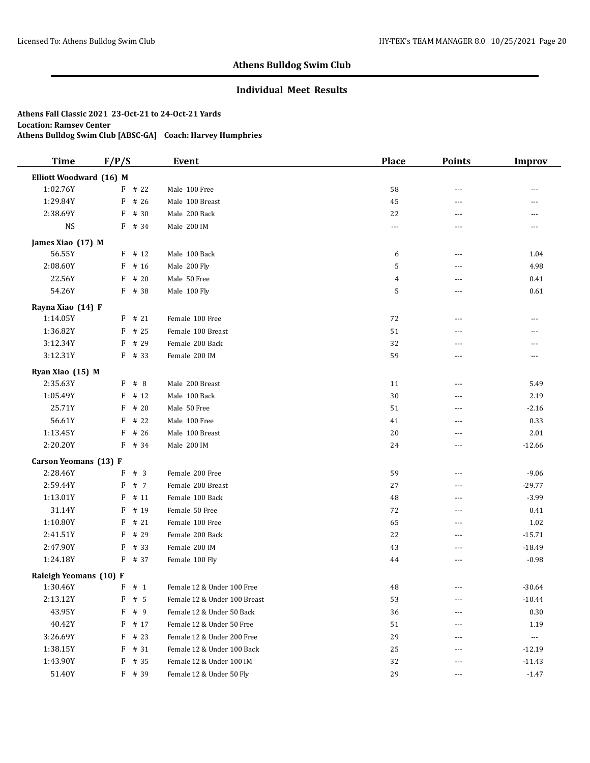## **Individual Meet Results**

| <b>Time</b>             | F/P/S |          | Event                        | <b>Place</b>   | <b>Points</b> | <b>Improv</b>  |
|-------------------------|-------|----------|------------------------------|----------------|---------------|----------------|
| Elliott Woodward (16) M |       |          |                              |                |               |                |
| 1:02.76Y                |       | $F$ # 22 | Male 100 Free                | 58             | ---           |                |
| 1:29.84Y                | F     | # 26     | Male 100 Breast              | 45             | $---$         | $---$          |
| 2:38.69Y                | F     | # 30     | Male 200 Back                | 22             | ---           | $\overline{a}$ |
| <b>NS</b>               |       | F # 34   | Male 200 IM                  | $\cdots$       | ---           | $---$          |
| James Xiao (17) M       |       |          |                              |                |               |                |
| 56.55Y                  |       | $F$ # 12 | Male 100 Back                | 6              | ---           | 1.04           |
| 2:08.60Y                | F     | # 16     | Male 200 Fly                 | 5              | ---           | 4.98           |
| 22.56Y                  | F     | # 20     | Male 50 Free                 | $\overline{4}$ | ---           | 0.41           |
| 54.26Y                  | F     | # 38     | Male 100 Fly                 | 5              | $- - -$       | $0.61\,$       |
| Rayna Xiao (14) F       |       |          |                              |                |               |                |
| 1:14.05Y                | F     | # 21     | Female 100 Free              | 72             | $--$          | ---            |
| 1:36.82Y                | F     | # 25     | Female 100 Breast            | 51             | $---$         | ---            |
| 3:12.34Y                | F     | # 29     | Female 200 Back              | 32             | ---           | ---            |
| 3:12.31Y                |       | $F$ # 33 | Female 200 IM                | 59             | ---           | ---            |
| Ryan Xiao (15) M        |       |          |                              |                |               |                |
| 2:35.63Y                | F     | #8       | Male 200 Breast              | 11             | $- - -$       | 5.49           |
| 1:05.49Y                | F     | # 12     | Male 100 Back                | 30             | ---           | 2.19           |
| 25.71Y                  | F     | # 20     | Male 50 Free                 | 51             | $---$         | $-2.16$        |
| 56.61Y                  | F     | # 22     | Male 100 Free                | 41             | ---           | 0.33           |
| 1:13.45Y                | F     | # 26     | Male 100 Breast              | 20             | ---           | 2.01           |
| 2:20.20Y                | F     | # 34     | Male 200 IM                  | 24             | $---$         | $-12.66$       |
| Carson Yeomans (13) F   |       |          |                              |                |               |                |
| 2:28.46Y                | F     | #3       | Female 200 Free              | 59             | $- - -$       | $-9.06$        |
| 2:59.44Y                | F     | # 7      | Female 200 Breast            | 27             | ---           | $-29.77$       |
| 1:13.01Y                | F     | # 11     | Female 100 Back              | 48             | $---$         | $-3.99$        |
| 31.14Y                  | F     | # 19     | Female 50 Free               | 72             | ---           | 0.41           |
| 1:10.80Y                | F     | #21      | Female 100 Free              | 65             | ---           | 1.02           |
| 2:41.51Y                | F     | # 29     | Female 200 Back              | 22             | ---           | $-15.71$       |
| 2:47.90Y                | F     | # 33     | Female 200 IM                | 43             | ---           | $-18.49$       |
| 1:24.18Y                | F     | # 37     | Female 100 Fly               | 44             | ---           | $-0.98$        |
| Raleigh Yeomans (10) F  |       |          |                              |                |               |                |
| 1:30.46Y                |       | F#1      | Female 12 & Under 100 Free   | 48             |               | $-30.64$       |
| 2:13.12Y                | F     | # 5      | Female 12 & Under 100 Breast | 53             | ---           | $-10.44$       |
| 43.95Y                  | F     | # 9      | Female 12 & Under 50 Back    | 36             | ---           | $0.30\,$       |
| 40.42Y                  | F     | # 17     | Female 12 & Under 50 Free    | 51             | ---           | 1.19           |
| 3:26.69Y                | F     | # 23     | Female 12 & Under 200 Free   | 29             |               | ---            |
| 1:38.15Y                | F     | # 31     | Female 12 & Under 100 Back   | 25             | ---           | $-12.19$       |
| 1:43.90Y                | F     | # 35     | Female 12 & Under 100 IM     | 32             |               | $-11.43$       |
| 51.40Y                  |       | $F$ # 39 | Female 12 & Under 50 Fly     | 29             | $---$         | $-1.47$        |